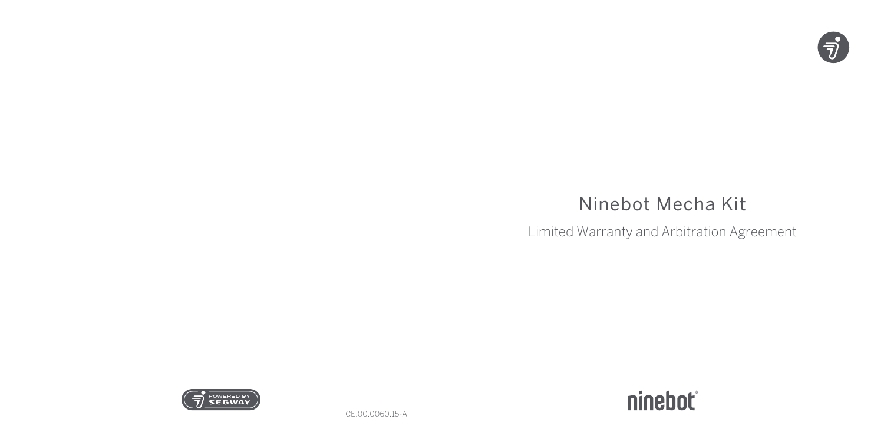

# Ninebot Mecha Kit

Limited Warranty and Arbitration Agreement





CE.00.0060.15-A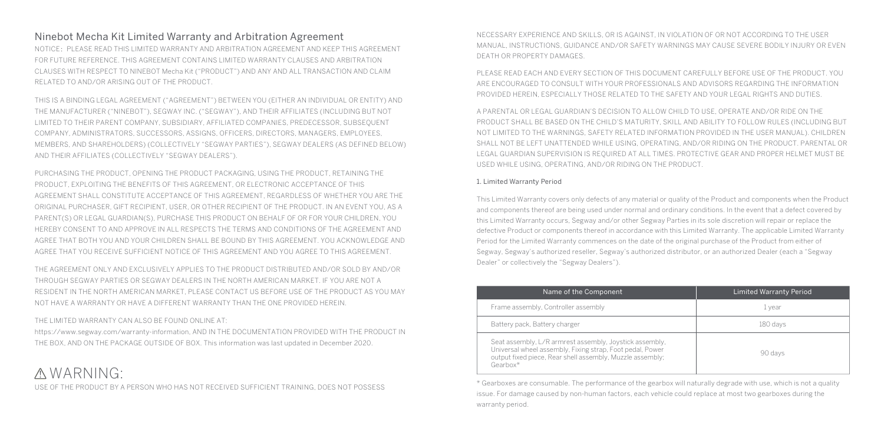### Ninebot Mecha Kit Limited Warranty and Arbitration Agreement

NOTICE:PLEASE READ THIS LIMITED WARRANTY AND ARBITRATION AGREEMENT AND KEEP THIS AGREEMENT FOR FUTURE REFERENCE. THIS AGREEMENT CONTAINS LIMITED WARRANTY CLAUSES AND ARBITRATION CLAUSES WITH RESPECT TO NINEBOT Mecha Kit ("PRODUCT") AND ANY AND ALL TRANSACTION AND CLAIM RELATED TO AND/OR ARISING OUT OF THE PRODUCT.

THIS IS A BINDING LEGAL AGREEMENT ("AGREEMENT") BETWEEN YOU (EITHER AN INDIVIDUAL OR ENTITY) AND THE MANUFACTURER ("NINEBOT"), SEGWAY INC. ("SEGWAY"), AND THEIR AFFILIATES (INCLUDING BUT NOT LIMITED TO THEIR PARENT COMPANY, SUBSIDIARY, AFFILIATED COMPANIES, PREDECESSOR, SUBSEQUENT COMPANY, ADMINISTRATORS, SUCCESSORS, ASSIGNS, OFFICERS, DIRECTORS, MANAGERS, EMPLOYEES, MEMBERS, AND SHAREHOLDERS) (COLLECTIVELY "SEGWAY PARTIES"), SEGWAY DEALERS (AS DEFINED BELOW) AND THEIR AFFILIATES (COLLECTIVELY "SEGWAY DEALERS").

PURCHASING THE PRODUCT, OPENING THE PRODUCT PACKAGING, USING THE PRODUCT, RETAINING THE PRODUCT, EXPLOITING THE BENEFITS OF THIS AGREEMENT, OR ELECTRONIC ACCEPTANCE OF THIS AGREEMENT SHALL CONSTITUTE ACCEPTANCE OF THIS AGREEMENT, REGARDLESS OF WHETHER YOU ARE THE ORIGINAL PURCHASER, GIFT RECIPIENT, USER, OR OTHER RECIPIENT OF THE PRODUCT. IN AN EVENT YOU, AS A PARENT(S) OR LEGAL GUARDIAN(S), PURCHASE THIS PRODUCT ON BEHALF OF OR FOR YOUR CHILDREN, YOU HEREBY CONSENT TO AND APPROVE IN ALL RESPECTS THE TERMS AND CONDITIONS OF THE AGREEMENT AND AGREE THAT BOTH YOU AND YOUR CHILDREN SHALL BE BOUND BY THIS AGREEMENT. YOU ACKNOWLEDGE AND AGREE THAT YOU RECEIVE SUFFICIENT NOTICE OF THIS AGREEMENT AND YOU AGREE TO THIS AGREEMENT.

THE AGREEMENT ONLY AND EXCLUSIVELY APPLIES TO THE PRODUCT DISTRIBUTED AND/OR SOLD BY AND/OR THROUGH SEGWAY PARTIES OR SEGWAY DEALERS IN THE NORTH AMERICAN MARKET. IF YOU ARE NOT A RESIDENT IN THE NORTH AMERICAN MARKET, PLEASE CONTACT US BEFORE USE OF THE PRODUCT AS YOU MAY NOT HAVE A WARRANTY OR HAVE A DIFFERENT WARRANTY THAN THE ONE PROVIDED HEREIN.

THE LIMITED WARRANTY CAN ALSO BE FOUND ONLINE AT:

https://www.segway.com/warranty-information, AND IN THE DOCUMENTATION PROVIDED WITH THE PRODUCT IN THE BOX, AND ON THE PACKAGE OUTSIDE OF BOX. This information was last updated in December 2020.

## WARNING:

USE OF THE PRODUCT BY A PERSON WHO HAS NOT RECEIVED SUFFICIENT TRAINING, DOES NOT POSSESS

NECESSARY EXPERIENCE AND SKILLS, OR IS AGAINST, IN VIOLATION OF OR NOT ACCORDING TO THE USER MANUAL, INSTRUCTIONS, GUIDANCE AND/OR SAFETY WARNINGS MAY CAUSE SEVERE BODILY INJURY OR EVEN DEATH OR PROPERTY DAMAGES.

PLEASE READ EACH AND EVERY SECTION OF THIS DOCUMENT CAREFULLY BEFORE USE OF THE PRODUCT. YOU ARE ENCOURAGED TO CONSULT WITH YOUR PROFESSIONALS AND ADVISORS REGARDING THE INFORMATION PROVIDED HEREIN, ESPECIALLY THOSE RELATED TO THE SAFETY AND YOUR LEGAL RIGHTS AND DUTIES.

A PARENTAL OR LEGAL GUARDIAN'S DECISION TO ALLOW CHILD TO USE, OPERATE AND/OR RIDE ON THE PRODUCT SHALL BE BASED ON THE CHILD'S MATURITY, SKILL AND ABILITY TO FOLLOW RULES (INCLUDING BUT NOT LIMITED TO THE WARNINGS, SAFETY RELATED INFORMATION PROVIDED IN THE USER MANUAL). CHILDREN SHALL NOT BE LEFT UNATTENDED WHILE USING, OPERATING, AND/OR RIDING ON THE PRODUCT. PARENTAL OR LEGAL GUARDIAN SUPERVISION IS REQUIRED AT ALL TIMES. PROTECTIVE GEAR AND PROPER HELMET MUST BE USED WHILE USING, OPERATING, AND/OR RIDING ON THE PRODUCT.

#### 1. Limited Warranty Period

This Limited Warranty covers only defects of any material or quality of the Product and components when the Product and components thereof are being used under normal and ordinary conditions. In the event that a defect covered by this Limited Warranty occurs, Segway and/or other Segway Parties in its sole discretion will repair or replace the defective Product or components thereof in accordance with this Limited Warranty. The applicable Limited Warranty Period for the Limited Warranty commences on the date of the original purchase of the Product from either of Segway, Segway's authorized reseller, Segway's authorized distributor, or an authorized Dealer (each a "Segway Dealer" or collectively the "Segway Dealers").

| Name of the Component                                                                                                                                                                         | <b>Limited Warranty Period</b> |
|-----------------------------------------------------------------------------------------------------------------------------------------------------------------------------------------------|--------------------------------|
| Frame assembly, Controller assembly                                                                                                                                                           | 1 year                         |
| Battery pack, Battery charger                                                                                                                                                                 | 180 davs                       |
| Seat assembly, L/R armrest assembly, Joystick assembly,<br>Universal wheel assembly, Fixing strap, Foot pedal, Power<br>output fixed piece, Rear shell assembly, Muzzle assembly;<br>Gearbox* | 90 days                        |

\* Gearboxes are consumable. The performance of the gearbox will naturally degrade with use, which is not a quality issue. For damage caused by non-human factors, each vehicle could replace at most two gearboxes during the warranty period.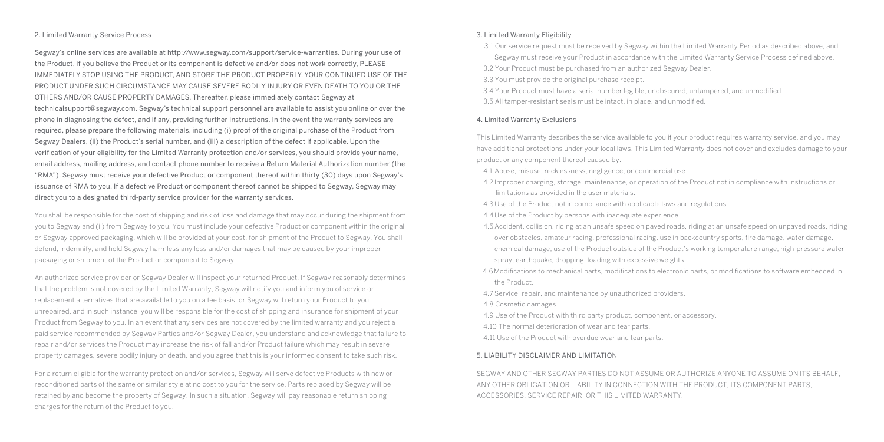#### 2. Limited Warranty Service Process

Segway's online services are available at http://www.segway.com/support/service-warranties. During your use of the Product, if you believe the Product or its component is defective and/or does not work correctly, PLEASE IMMEDIATELY STOP USING THE PRODUCT, AND STORE THE PRODUCT PROPERLY. YOUR CONTINUED USE OF THE PRODUCT UNDER SUCH CIRCUMSTANCE MAY CAUSE SEVERE BODILY INJURY OR EVEN DEATH TO YOU OR THE OTHERS AND/OR CAUSE PROPERTY DAMAGES. Thereafter, please immediately contact Segway at technicalsupport@segway.com. Segway's technical support personnel are available to assist you online or over the phone in diagnosing the defect, and if any, providing further instructions. In the event the warranty services are required, please prepare the following materials, including (i) proof of the original purchase of the Product from Segway Dealers, (ii) the Product's serial number, and (iii) a description of the defect if applicable. Upon the verification of your eligibility for the Limited Warranty protection and/or services, you should provide your name, email address, mailing address, and contact phone number to receive a Return Material Authorization number (the "RMA"). Segway must receive your defective Product or component thereof within thirty (30) days upon Segway's issuance of RMA to you. If a defective Product or component thereof cannot be shipped to Segway, Segway may direct you to a designated third-party service provider for the warranty services.

You shall be responsible for the cost of shipping and risk of loss and damage that may occur during the shipment from you to Segway and (ii) from Segway to you. You must include your defective Product or component within the original or Segway approved packaging, which will be provided at your cost, for shipment of the Product to Segway. You shall defend, indemnify, and hold Segway harmless any loss and/or damages that may be caused by your improper packaging or shipment of the Product or component to Segway.

An authorized service provider or Segway Dealer will inspect your returned Product. If Segway reasonably determines that the problem is not covered by the Limited Warranty, Segway will notify you and inform you of service or replacement alternatives that are available to you on a fee basis, or Segway will return your Product to you unrepaired, and in such instance, you will be responsible for the cost of shipping and insurance for shipment of your Product from Segway to you. In an event that any services are not covered by the limited warranty and you reject a paid service recommended by Segway Parties and/or Segway Dealer, you understand and acknowledge that failure to repair and/or services the Product may increase the risk of fall and/or Product failure which may result in severe property damages, severe bodily injury or death, and you agree that this is your informed consent to take such risk.

For a return eligible for the warranty protection and/or services, Segway will serve defective Products with new or reconditioned parts of the same or similar style at no cost to you for the service. Parts replaced by Segway will be retained by and become the property of Segway. In such a situation, Segway will pay reasonable return shipping charges for the return of the Product to you.

#### 3. Limited Warranty Eligibility

3.1 Our service request must be received by Segway within the Limited Warranty Period as described above, and

Segway must receive your Product in accordance with the Limited Warranty Service Process defined above. 3.2 Your Product must be purchased from an authorized Segway Dealer.

3.3 You must provide the original purchase receipt.

3.4 Your Product must have a serial number legible, unobscured, untampered, and unmodified. 3.5 All tamper-resistant seals must be intact, in place, and unmodified.

#### 4. Limited Warranty Exclusions

This Limited Warranty describes the service available to you if your product requires warranty service, and you may have additional protections under your local laws. This Limited Warranty does not cover and excludes damage to your product or any component thereof caused by:

4.1 Abuse, misuse, recklessness, negligence, or commercial use.

4.2 Improper charging, storage, maintenance, or operation of the Product not in compliance with instructions or limitations as provided in the user materials.

4.3 Use of the Product not in compliance with applicable laws and regulations.

4.4 Use of the Product by persons with inadequate experience.

- 4.5 Accident, collision, riding at an unsafe speed on paved roads, riding at an unsafe speed on unpaved roads, riding over obstacles, amateur racing, professional racing, use in backcountry sports, fire damage, water damage, chemical damage, use of the Product outside of the Product's working temperature range, high-pressure water spray, earthquake, dropping, loading with excessive weights.
- 4.6Modifications to mechanical parts, modifications to electronic parts, or modifications to software embedded in the Product.
- 4.7 Service, repair, and maintenance by unauthorized providers.

4.8 Cosmetic damages.

- 4.9 Use of the Product with third party product, component, or accessory.
- 4.10 The normal deterioration of wear and tear parts.
- 4.11 Use of the Product with overdue wear and tear parts.

#### 5. LIABILITY DISCLAIMER AND LIMITATION

SEGWAY AND OTHER SEGWAY PARTIES DO NOT ASSUME OR AUTHORIZE ANYONE TO ASSUME ON ITS BEHALF, ANY OTHER OBLIGATION OR LIABILITY IN CONNECTION WITH THE PRODUCT, ITS COMPONENT PARTS, ACCESSORIES, SERVICE REPAIR, OR THIS LIMITED WARRANTY.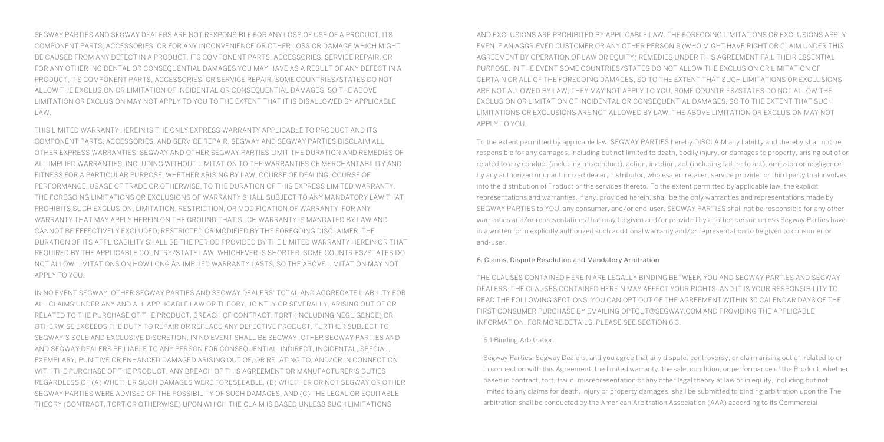SEGWAY PARTIES AND SEGWAY DEALERS ARE NOT RESPONSIBLE FOR ANY LOSS OF USE OF A PRODUCT, ITS COMPONENT PARTS, ACCESSORIES, OR FOR ANY INCONVENIENCE OR OTHER LOSS OR DAMAGE WHICH MIGHT BE CAUSED FROM ANY DEFECT IN A PRODUCT, ITS COMPONENT PARTS, ACCESSORIES, SERVICE REPAIR, OR FOR ANY OTHER INCIDENTAL OR CONSEQUENTIAL DAMAGES YOU MAY HAVE AS A RESULT OF ANY DEFECT IN A PRODUCT, ITS COMPONENT PARTS, ACCESSORIES, OR SERVICE REPAIR. SOME COUNTRIES/STATES DO NOT ALLOW THE EXCLUSION OR LIMITATION OF INCIDENTAL OR CONSEQUENTIAL DAMAGES, SO THE ABOVE LIMITATION OR EXCLUSION MAY NOT APPLY TO YOU TO THE EXTENT THAT IT IS DISALLOWED BY APPLICABLE LAW.

THIS LIMITED WARRANTY HEREIN IS THE ONLY EXPRESS WARRANTY APPLICABLE TO PRODUCT AND ITS COMPONENT PARTS, ACCESSORIES, AND SERVICE REPAIR. SEGWAY AND SEGWAY PARTIES DISCLAIM ALL OTHER EXPRESS WARRANTIES. SEGWAY AND OTHER SEGWAY PARTIES LIMIT THE DURATION AND REMEDIES OF ALL IMPLIED WARRANTIES, INCLUDING WITHOUT LIMITATION TO THE WARRANTIES OF MERCHANTABILITY AND FITNESS FOR A PARTICULAR PURPOSE, WHETHER ARISING BY LAW, COURSE OF DEALING, COURSE OF PERFORMANCE, USAGE OF TRADE OR OTHERWISE, TO THE DURATION OF THIS EXPRESS LIMITED WARRANTY. THE FOREGOING LIMITATIONS OR EXCLUSIONS OF WARRANTY SHALL SUBJECT TO ANY MANDATORY LAW THAT PROHIBITS SUCH EXCLUSION, LIMITATION, RESTRICTION, OR MODIFICATION OF WARRANTY. FOR ANY WARRANTY THAT MAY APPLY HEREIN ON THE GROUND THAT SUCH WARRANTY IS MANDATED BY LAW AND CANNOT BE EFFECTIVELY EXCLUDED, RESTRICTED OR MODIFIED BY THE FOREGOING DISCLAIMER, THE DURATION OF ITS APPLICABILITY SHALL BE THE PERIOD PROVIDED BY THE LIMITED WARRANTY HEREIN OR THAT REQUIRED BY THE APPLICABLE COUNTRY/STATE LAW, WHICHEVER IS SHORTER. SOME COUNTRIES/STATES DO NOT ALLOW LIMITATIONS ON HOW LONG AN IMPLIED WARRANTY LASTS, SO THE ABOVE LIMITATION MAY NOT APPLY TO YOU.

IN NO EVENT SEGWAY, OTHER SEGWAY PARTIES AND SEGWAY DEALERS' TOTAL AND AGGREGATE LIABILITY FOR ALL CLAIMS UNDER ANY AND ALL APPLICABLE LAW OR THEORY, JOINTLY OR SEVERALLY, ARISING OUT OF OR RELATED TO THE PURCHASE OF THE PRODUCT, BREACH OF CONTRACT, TORT (INCLUDING NEGLIGENCE) OR OTHERWISE EXCEEDS THE DUTY TO REPAIR OR REPLACE ANY DEFECTIVE PRODUCT, FURTHER SUBJECT TO SEGWAY'S SOLE AND EXCLUSIVE DISCRETION. IN NO EVENT SHALL BE SEGWAY, OTHER SEGWAY PARTIES AND AND SEGWAY DEALERS BE LIABLE TO ANY PERSON FOR CONSEQUENTIAL, INDIRECT, INCIDENTAL, SPECIAL, EXEMPLARY, PUNITIVE OR ENHANCED DAMAGED ARISING OUT OF, OR RELATING TO, AND/OR IN CONNECTION WITH THE PURCHASE OF THE PRODUCT, ANY BREACH OF THIS AGREEMENT OR MANUFACTURER'S DUTIES REGARDLESS OF (A) WHETHER SUCH DAMAGES WERE FORESEEABLE, (B) WHETHER OR NOT SEGWAY OR OTHER SEGWAY PARTIES WERE ADVISED OF THE POSSIBILITY OF SUCH DAMAGES, AND (C) THE LEGAL OR EQUITABLE THEORY (CONTRACT, TORT OR OTHERWISE) UPON WHICH THE CLAIM IS BASED UNLESS SUCH LIMITATIONS

AND EXCLUSIONS ARE PROHIBITED BY APPLICABLE LAW. THE FOREGOING LIMITATIONS OR EXCLUSIONS APPLY EVEN IF AN AGGRIEVED CUSTOMER OR ANY OTHER PERSON'S (WHO MIGHT HAVE RIGHT OR CLAIM UNDER THIS AGREEMENT BY OPERATION OF LAW OR EQUITY) REMEDIES UNDER THIS AGREEMENT FAIL THEIR ESSENTIAL PURPOSE. IN THE EVENT SOME COUNTRIES/STATES DO NOT ALLOW THE EXCLUSION OR LIMITATION OF CERTAIN OR ALL OF THE FOREGOING DAMAGES, SO TO THE EXTENT THAT SUCH LIMITATIONS OR EXCLUSIONS ARE NOT ALLOWED BY LAW, THEY MAY NOT APPLY TO YOU. SOME COUNTRIES/STATES DO NOT ALLOW THE EXCLUSION OR LIMITATION OF INCIDENTAL OR CONSEQUENTIAL DAMAGES, SO TO THE EXTENT THAT SUCH LIMITATIONS OR EXCLUSIONS ARE NOT ALLOWED BY LAW, THE ABOVE LIMITATION OR EXCLUSION MAY NOT APPLY TO YOU.

To the extent permitted by applicable law, SEGWAY PARTIES hereby DISCLAIM any liability and thereby shall not be responsible for any damages, including but not limited to death, bodily injury, or damages to property, arising out of or related to any conduct (including misconduct), action, inaction, act (including failure to act), omission or negligence by any authorized or unauthorized dealer, distributor, wholesaler, retailer, service provider or third party that involves into the distribution of Product or the services thereto. To the extent permitted by applicable law, the explicit representations and warranties, if any, provided herein, shall be the only warranties and representations made by SEGWAY PARTIES to YOU, any consumer, and/or end-user. SEGWAY PARTIES shall not be responsible for any other warranties and/or representations that may be given and/or provided by another person unless Segway Parties have in a written form explicitly authorized such additional warranty and/or representation to be given to consumer or end-user.

#### 6. Claims, Dispute Resolution and Mandatory Arbitration

THE CLAUSES CONTAINED HEREIN ARE LEGALLY BINDING BETWEEN YOU AND SEGWAY PARTIES AND SEGWAY DEALERS. THE CLAUSES CONTAINED HEREIN MAY AFFECT YOUR RIGHTS, AND IT IS YOUR RESPONSIBILITY TO READ THE FOLLOWING SECTIONS. YOU CAN OPT OUT OF THE AGREEMENT WITHIN 30 CALENDAR DAYS OF THE FIRST CONSUMER PURCHASE BY EMAILING OPTOUT@SEGWAY.COM AND PROVIDING THE APPLICABLE INFORMATION. FOR MORE DETAILS, PLEASE SEE SECTION 6.3.

#### 6.1 Binding Arbitration

Segway Parties, Segway Dealers, and you agree that any dispute, controversy, or claim arising out of, related to or in connection with this Agreement, the limited warranty, the sale, condition, or performance of the Product, whether based in contract, tort, fraud, misrepresentation or any other legal theory at law or in equity, including but not limited to any claims for death, injury or property damages, shall be submitted to binding arbitration upon the The arbitration shall be conducted by the American Arbitration Association (AAA) according to its Commercial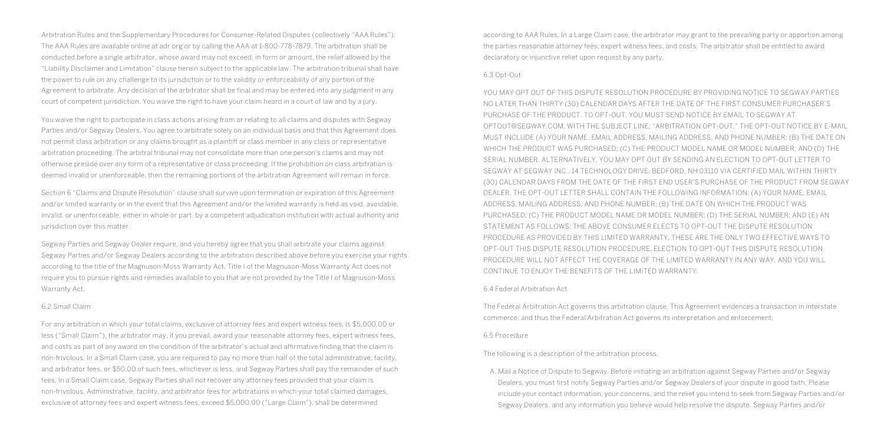Arbitration Rules and the Supplementary Procedures for Consumer-Related Disputes (collectively "AAA Rules"). The AAA Rules are available online at adr.org or by calling the AAA at 1-800-778-7879. The arbitration shall be conducted before a single arbitrator, whose award may not exceed, in form or amount, the relief allowed by the "Liability Disclaimer and Limitation" clause herein subject to the applicable law. The arbitration tribunal shall have the power to rule on any challenge to its jurisdiction or to the validity or enforceability of any portion of the Agreement to arbitrate. Any decision of the arbitrator shall be final and may be entered into any judgment in any court of competent jurisdiction. You waive the right to have your claim heard in a court of law and by a jury.

You waive the right to participate in class actions arising from or relating to all claims and disputes with Segway Parties and/or Segway Dealers. You agree to arbitrate solely on an individual basis and that this Agreement does not permit class arbitration or any claims brought as a plaintiff or class member in any class or representative arbitration proceeding. The arbitral tribunal may not consolidate more than one person's claims and may not otherwise preside over any form of a representative or class proceeding. If the prohibition on class arbitration is deemed invalid or unenforceable, then the remaining portions of the arbitration Agreement will remain in force.

Section 6 "Claims and Dispute Resolution" clause shall survive upon termination or expiration of this Agreement and/or limited warranty or in the event that this Agreement and/or the limited warranty is held as void, avoidable, invalid, or unenforceable, either in whole or part, by a competent adjudication institution with actual authority and jurisdiction over this matter.

Segway Parties and Segway Dealer require, and you hereby agree that you shall arbitrate your claims against Segway Parties and/or Segway Dealers according to the arbitration described above before you exercise your rights according to the title of the Magnuson-Moss Warranty Act. Title I of the Magnuson-Moss Warranty Act does not require you to pursue rights and remedies available to you that are not provided by the Title I of Magnuson-Moss Warranty Act.

#### 6.2 Small Claim

For any arbitration in which your total claims, exclusive of attorney fees and expert witness fees, is \$5,000.00 or less ("Small Claim"), the arbitrator may, if you prevail, award your reasonable attorney fees, expert witness fees, and costs as part of any award on the condition of the arbitrator's actual and affirmative finding that the claim is non-frivolous. In a Small Claim case, you are required to pay no more than half of the total administrative, facility, and arbitrator fees, or \$50.00 of such fees, whichever is less, and Segway Parties shall pay the remainder of such fees. In a Small Claim case, Segway Parties shall not recover any attorney fees provided that your claim is non-frivolous. Administrative, facility, and arbitrator fees for arbitrations in which your total claimed damages, exclusive of attorney fees and expert witness fees, exceed \$5,000.00 ("Large Claim"), shall be determined

according to AAA Rules. In a Large Claim case, the arbitrator may grant to the prevailing party or apportion among the parties reasonable attorney fees, expert witness fees, and costs. The arbitrator shall be entitled to award declaratory or injunctive relief upon request by any party.

#### 6.3 Opt-Out

YOU MAY OPT OUT OF THIS DISPUTE RESOLUTION PROCEDURE BY PROVIDING NOTICE TO SEGWAY PARTIES NO LATER THAN THIRTY (30) CALENDAR DAYS AFTER THE DATE OF THE FIRST CONSUMER PURCHASER'S PURCHASE OF THE PRODUCT. TO OPT-OUT, YOU MUST SEND NOTICE BY EMAIL TO SEGWAY AT OPTOUT@SEGWAY.COM, WITH THE SUBJECT LINE: "ARBITRATION OPT-OUT." THE OPT-OUT NOTICE BY E-MAIL MUST INCLUDE (A) YOUR NAME, EMAIL ADDRESS, MAILING ADDRESS, AND PHONE NUMBER; (B) THE DATE ON WHICH THE PRODUCT WAS PURCHASED; (C) THE PRODUCT MODEL NAME OR MODEL NUMBER; AND (D) THE SERIAL NUMBER. ALTERNATIVELY, YOU MAY OPT OUT BY SENDING AN ELECTION TO OPT-OUT LETTER TO SEGWAY AT SEGWAY INC., 14 TECHNOLOGY DRIVE, BEDFORD, NH 03110 VIA CERTIFIED MAIL WITHIN THIRTY (30) CALENDAR DAYS FROM THE DATE OF THE FIRST END USER'S PURCHASE OF THE PRODUCT FROM SEGWAY DEALER. THE OPT-OUT LETTER SHALL CONTAIN THE FOLLOWING INFORMATION: (A) YOUR NAME, EMAIL ADDRESS, MAILING ADDRESS, AND PHONE NUMBER; (B) THE DATE ON WHICH THE PRODUCT WAS PURCHASED; (C) THE PRODUCT MODEL NAME OR MODEL NUMBER; (D) THE SERIAL NUMBER; AND (E) AN STATEMENT AS FOLLOWS: THE ABOVE CONSUMER ELECTS TO OPT-OUT THE DISPUTE RESOLUTION PROCEDURE AS PROVIDED BY THIS LIMITED WARRANTY, THESE ARE THE ONLY TWO EFFECTIVE WAYS TO OPT-OUT THIS DISPUTE RESOLUTION PROCEDURE. ELECTION TO OPT-OUT THIS DISPUTE RESOLUTION PROCEDURE WILL NOT AFFECT THE COVERAGE OF THE LIMITED WARRANTY IN ANY WAY, AND YOU WILL CONTINUE TO ENJOY THE BENEFITS OF THE LIMITED WARRANTY.

#### 6.4 Federal Arbitration Act

The Federal Arbitration Act governs this arbitration clause. This Agreement evidences a transaction in interstate commerce, and thus the Federal Arbitration Act governs its interpretation and enforcement.

#### 6.5 Procedure

The following is a description of the arbitration process.

A. Mail a Notice of Dispute to Segway. Before initiating an arbitration against Segway Parties and/or Segway Dealers, you must first notify Segway Parties and/or Segway Dealers of your dispute in good faith. Please include your contact information, your concerns, and the relief you intend to seek from Segway Parties and/or Segway Dealers, and any information you believe would help resolve the dispute. Segway Parties and/or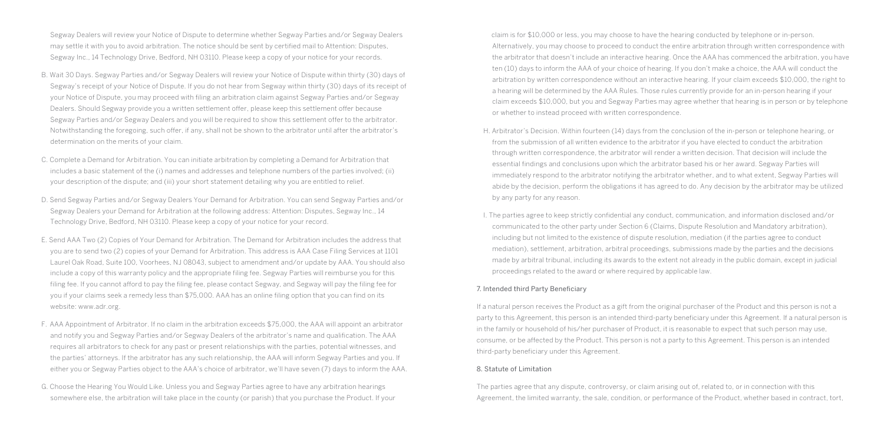Segway Dealers will review your Notice of Dispute to determine whether Segway Parties and/or Segway Dealers may settle it with you to avoid arbitration. The notice should be sent by certified mail to Attention: Disputes, Segway Inc., 14 Technology Drive, Bedford, NH 03110. Please keep a copy of your notice for your records.

- B. Wait 30 Days. Segway Parties and/or Segway Dealers will review your Notice of Dispute within thirty (30) days of Segway's receipt of your Notice of Dispute. If you do not hear from Segway within thirty (30) days of its receipt of your Notice of Dispute, you may proceed with filing an arbitration claim against Segway Parties and/or Segway Dealers. Should Segway provide you a written settlement offer, please keep this settlement offer because Segway Parties and/or Segway Dealers and you will be required to show this settlement offer to the arbitrator. Notwithstanding the foregoing, such offer, if any, shall not be shown to the arbitrator until after the arbitrator's determination on the merits of your claim.
- C. Complete a Demand for Arbitration. You can initiate arbitration by completing a Demand for Arbitration that includes a basic statement of the (i) names and addresses and telephone numbers of the parties involved; (ii) your description of the dispute; and (iii) your short statement detailing why you are entitled to relief.
- D. Send Segway Parties and/or Segway Dealers Your Demand for Arbitration. You can send Segway Parties and/or Segway Dealers your Demand for Arbitration at the following address: Attention: Disputes, Segway Inc., 14 Technology Drive, Bedford, NH 03110. Please keep a copy of your notice for your record.
- E. Send AAA Two (2) Copies of Your Demand for Arbitration. The Demand for Arbitration includes the address that you are to send two (2) copies of your Demand for Arbitration. This address is AAA Case Filing Services at 1101 Laurel Oak Road, Suite 100, Voorhees, NJ 08043, subject to amendment and/or update by AAA. You should also include a copy of this warranty policy and the appropriate filing fee. Segway Parties will reimburse you for this filing fee. If you cannot afford to pay the filing fee, please contact Segway, and Segway will pay the filing fee for you if your claims seek a remedy less than \$75,000. AAA has an online filing option that you can find on its website: www.adr.org.
- F. AAA Appointment of Arbitrator. If no claim in the arbitration exceeds \$75,000, the AAA will appoint an arbitrator and notify you and Segway Parties and/or Segway Dealers of the arbitrator's name and qualification. The AAA requires all arbitrators to check for any past or present relationships with the parties, potential witnesses, and the parties' attorneys. If the arbitrator has any such relationship, the AAA will inform Segway Parties and you. If either you or Segway Parties object to the AAA's choice of arbitrator, we'll have seven (7) days to inform the AAA.
- G. Choose the Hearing You Would Like. Unless you and Segway Parties agree to have any arbitration hearings somewhere else, the arbitration will take place in the county (or parish) that you purchase the Product. If your
- claim is for \$10,000 or less, you may choose to have the hearing conducted by telephone or in-person. Alternatively, you may choose to proceed to conduct the entire arbitration through written correspondence with the arbitrator that doesn't include an interactive hearing. Once the AAA has commenced the arbitration, you have ten (10) days to inform the AAA of your choice of hearing. If you don't make a choice, the AAA will conduct the arbitration by written correspondence without an interactive hearing. If your claim exceeds \$10,000, the right to a hearing will be determined by the AAA Rules. Those rules currently provide for an in-person hearing if your claim exceeds \$10,000, but you and Segway Parties may agree whether that hearing is in person or by telephone or whether to instead proceed with written correspondence.
- H. Arbitrator's Decision. Within fourteen (14) days from the conclusion of the in-person or telephone hearing, or from the submission of all written evidence to the arbitrator if you have elected to conduct the arbitration through written correspondence, the arbitrator will render a written decision. That decision will include the essential findings and conclusions upon which the arbitrator based his or her award. Segway Parties will immediately respond to the arbitrator notifying the arbitrator whether, and to what extent, Segway Parties will abide by the decision, perform the obligations it has agreed to do. Any decision by the arbitrator may be utilized by any party for any reason.
- I. The parties agree to keep strictly confidential any conduct, communication, and information disclosed and/or communicated to the other party under Section 6 (Claims, Dispute Resolution and Mandatory arbitration), including but not limited to the existence of dispute resolution, mediation (if the parties agree to conduct mediation), settlement, arbitration, arbitral proceedings, submissions made by the parties and the decisions made by arbitral tribunal, including its awards to the extent not already in the public domain, except in judicial proceedings related to the award or where required by applicable law.

#### 7. Intended third Party Beneficiary

If a natural person receives the Product as a gift from the original purchaser of the Product and this person is not a party to this Agreement, this person is an intended third-party beneficiary under this Agreement. If a natural person is in the family or household of his/her purchaser of Product, it is reasonable to expect that such person may use, consume, or be affected by the Product. This person is not a party to this Agreement. This person is an intended third-party beneficiary under this Agreement.

#### 8. Statute of Limitation

The parties agree that any dispute, controversy, or claim arising out of, related to, or in connection with this Agreement, the limited warranty, the sale, condition, or performance of the Product, whether based in contract, tort,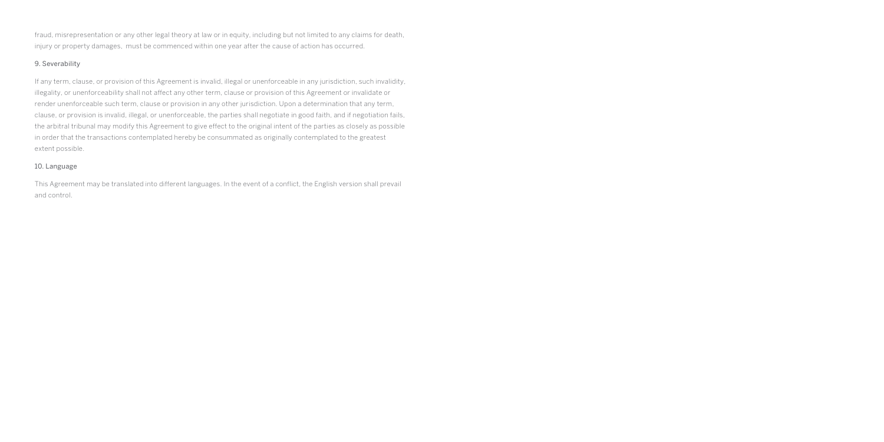fraud, misrepresentation or any other legal theory at law or in equity, including but not limited to any claims for death, injury or property damages, must be commenced within one year after the cause of action has occurred.

#### 9. Severability

If any term, clause, or provision of this Agreement is invalid, illegal or unenforceable in any jurisdiction, such invalidity, illegality, or unenforceability shall not affect any other term, clause or provision of this Agreement or invalidate or render unenforceable such term, clause or provision in any other jurisdiction. Upon a determination that any term, clause, or provision is invalid, illegal, or unenforceable, the parties shall negotiate in good faith, and if negotiation fails, the arbitral tribunal may modify this Agreement to give effect to the original intent of the parties as closely as possible in order that the transactions contemplated hereby be consummated as originally contemplated to the greatest extent possible.

#### 10. Language

This Agreement may be translated into different languages. In the event of a conflict, the English version shall prevail and control.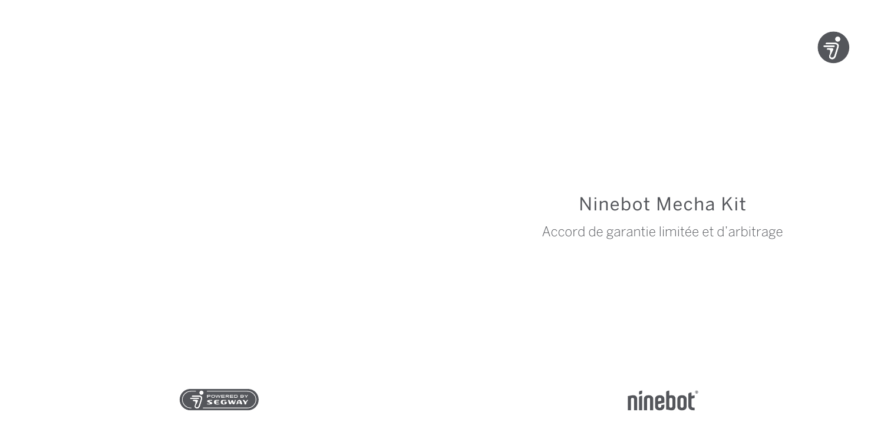

# Ninebot Mecha Kit

Accord de garantie limitée et d'arbitrage



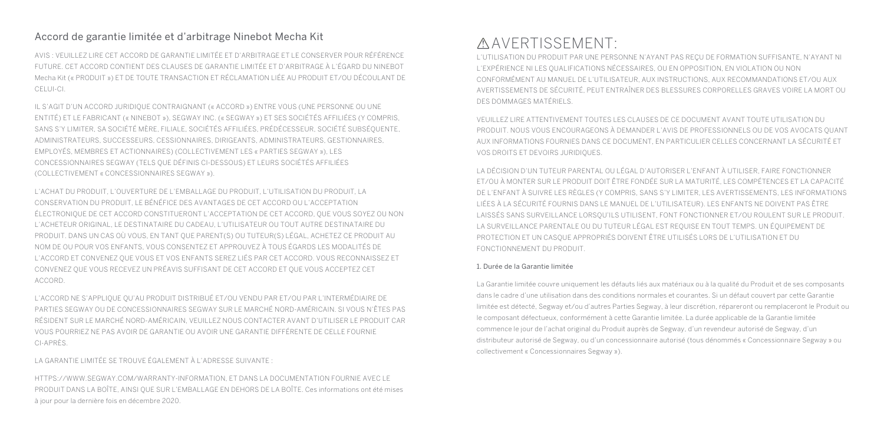### Accord de garantie limitée et d'arbitrage Ninebot Mecha Kit

AVIS : VEUILLEZ LIRE CET ACCORD DE GARANTIE LIMITÉE ET D'ARBITRAGE ET LE CONSERVER POUR RÉFÉRENCE FUTURE. CET ACCORD CONTIENT DES CLAUSES DE GARANTIE LIMITÉE ET D'ARBITRAGE À L'ÉGARD DU NINEBOT Mecha Kit (« PRODUIT ») ET DE TOUTE TRANSACTION ET RÉCLAMATION LIÉE AU PRODUIT ET/OU DÉCOULANT DE CELUI-CI.

IL S'AGIT D'UN ACCORD JURIDIQUE CONTRAIGNANT (« ACCORD ») ENTRE VOUS (UNE PERSONNE OU UNE ENTITÉ) ET LE FABRICANT (« NINEBOT »), SEGWAY INC. (« SEGWAY ») ET SES SOCIÉTÉS AFFILIÉES (Y COMPRIS, SANS S'Y LIMITER, SA SOCIÉTÉ MÈRE, FILIALE, SOCIÉTÉS AFFILIÉES, PRÉDÉCESSEUR, SOCIÉTÉ SUBSÉQUENTE, ADMINISTRATEURS, SUCCESSEURS, CESSIONNAIRES, DIRIGEANTS, ADMINISTRATEURS, GESTIONNAIRES, EMPLOYÉS, MEMBRES ET ACTIONNAIRES) (COLLECTIVEMENT LES « PARTIES SEGWAY »), LES CONCESSIONNAIRES SEGWAY (TELS QUE DÉFINIS CI-DESSOUS) ET LEURS SOCIÉTÉS AFFILIÉES (COLLECTIVEMENT « CONCESSIONNAIRES SEGWAY »).

L'ACHAT DU PRODUIT, L'OUVERTURE DE L'EMBALLAGE DU PRODUIT, L'UTILISATION DU PRODUIT, LA CONSERVATION DU PRODUIT, LE BÉNÉFICE DES AVANTAGES DE CET ACCORD OU L'ACCEPTATION ÉLECTRONIQUE DE CET ACCORD CONSTITUERONT L'ACCEPTATION DE CET ACCORD, QUE VOUS SOYEZ OU NON L'ACHETEUR ORIGINAL, LE DESTINATAIRE DU CADEAU, L'UTILISATEUR OU TOUT AUTRE DESTINATAIRE DU PRODUIT. DANS UN CAS OÙ VOUS, EN TANT QUE PARENT(S) OU TUTEUR(S) LÉGAL, ACHETEZ CE PRODUIT AU NOM DE OU POUR VOS ENFANTS, VOUS CONSENTEZ ET APPROUVEZ À TOUS ÉGARDS LES MODALITÉS DE L'ACCORD ET CONVENEZ QUE VOUS ET VOS ENFANTS SEREZ LIÉS PAR CET ACCORD. VOUS RECONNAISSEZ ET CONVENEZ QUE VOUS RECEVEZ UN PRÉAVIS SUFFISANT DE CET ACCORD ET QUE VOUS ACCEPTEZ CET ACCORD.

L'ACCORD NE S'APPLIQUE QU'AU PRODUIT DISTRIBUÉ ET/OU VENDU PAR ET/OU PAR L'INTERMÉDIAIRE DE PARTIES SEGWAY OU DE CONCESSIONNAIRES SEGWAY SUR LE MARCHÉ NORD-AMÉRICAIN. SI VOUS N'ÊTES PAS RÉSIDENT SUR LE MARCHÉ NORD-AMÉRICAIN, VEUILLEZ NOUS CONTACTER AVANT D'UTILISER LE PRODUIT CAR VOUS POURRIEZ NE PAS AVOIR DE GARANTIE OU AVOIR UNE GARANTIE DIFFÉRENTE DE CELLE FOURNIE CI-APRÈS.

LA GARANTIE LIMITÉE SE TROUVE ÉGALEMENT À L'ADRESSE SUIVANTE :

HTTPS://WWW.SEGWAY.COM/WARRANTY-INFORMATION, ET DANS LA DOCUMENTATION FOURNIE AVEC LE PRODUIT DANS LA BOÎTE, AINSI QUE SUR L'EMBALLAGE EN DEHORS DE LA BOÎTE. Ces informations ont été mises à jour pour la dernière fois en décembre 2020.

## AVERTISSEMENT:

L'UTILISATION DU PRODUIT PAR UNE PERSONNE N'AYANT PAS REÇU DE FORMATION SUFFISANTE, N'AYANT NI L'EXPÉRIENCE NI LES QUALIFICATIONS NÉCESSAIRES, OU EN OPPOSITION, EN VIOLATION OU NON CONFORMÉMENT AU MANUEL DE L'UTILISATEUR, AUX INSTRUCTIONS, AUX RECOMMANDATIONS ET/OU AUX AVERTISSEMENTS DE SÉCURITÉ, PEUT ENTRAÎNER DES BLESSURES CORPORELLES GRAVES VOIRE LA MORT OU DES DOMMAGES MATÉRIELS.

VEUILLEZ LIRE ATTENTIVEMENT TOUTES LES CLAUSES DE CE DOCUMENT AVANT TOUTE UTILISATION DU PRODUIT. NOUS VOUS ENCOURAGEONS À DEMANDER L'AVIS DE PROFESSIONNELS OU DE VOS AVOCATS QUANT AUX INFORMATIONS FOURNIES DANS CE DOCUMENT, EN PARTICULIER CELLES CONCERNANT LA SÉCURITÉ ET VOS DROITS ET DEVOIRS JURIDIQUES.

LA DÉCISION D'UN TUTEUR PARENTAL OU LÉGAL D'AUTORISER L'ENFANT À UTILISER, FAIRE FONCTIONNER ET/OU À MONTER SUR LE PRODUIT DOIT ÊTRE FONDÉE SUR LA MATURITÉ, LES COMPÉTENCES ET LA CAPACITÉ DE L'ENFANT À SUIVRE LES RÈGLES (Y COMPRIS, SANS S'Y LIMITER, LES AVERTISSEMENTS, LES INFORMATIONS LIÉES À LA SÉCURITÉ FOURNIS DANS LE MANUEL DE L'UTILISATEUR). LES ENFANTS NE DOIVENT PAS ÊTRE LAISSÉS SANS SURVEILLANCE LORSQU'ILS UTILISENT, FONT FONCTIONNER ET/OU ROULENT SUR LE PRODUIT. LA SURVEILLANCE PARENTALE OU DU TUTEUR LÉGAL EST REQUISE EN TOUT TEMPS. UN ÉQUIPEMENT DE PROTECTION ET UN CASQUE APPROPRIÉS DOIVENT ÊTRE UTILISÉS LORS DE L'UTILISATION ET DU FONCTIONNEMENT DU PRODUIT.

#### 1. Durée de la Garantie limitée

La Garantie limitée couvre uniquement les défauts liés aux matériaux ou à la qualité du Produit et de ses composants dans le cadre d'une utilisation dans des conditions normales et courantes. Si un défaut couvert par cette Garantie limitée est détecté, Segway et/ou d'autres Parties Segway, à leur discrétion, répareront ou remplaceront le Produit ou le composant défectueux, conformément à cette Garantie limitée. La durée applicable de la Garantie limitée commence le jour de l'achat original du Produit auprès de Segway, d'un revendeur autorisé de Segway, d'un distributeur autorisé de Segway, ou d'un concessionnaire autorisé (tous dénommés « Concessionnaire Segway » ou collectivement « Concessionnaires Segway »).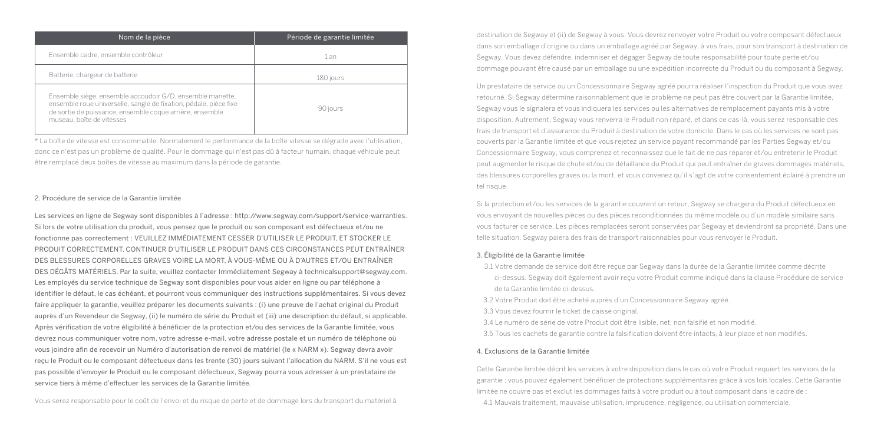| Nom de la pièce                                                                                                                                                                                                         | Période de garantie limitée |
|-------------------------------------------------------------------------------------------------------------------------------------------------------------------------------------------------------------------------|-----------------------------|
| Ensemble cadre, ensemble contrôleur                                                                                                                                                                                     | 1 an                        |
| Batterie, chargeur de batterie                                                                                                                                                                                          | 180 jours                   |
| Ensemble siège, ensemble accoudoir G/D, ensemble manette,<br>ensemble roue universelle, sangle de fixation, pédale, pièce fixe<br>de sortie de puissance, ensemble coque arrière, ensemble<br>museau, boîte de vitesses | 90 jours                    |

\* La boîte de vitesse est consommable. Normalement le performance de la boîte vitesse se dégrade avec l'utilisation, donc ce n'est pas un problème de qualité. Pour le dommage qui n'est pas dû à facteur humain, chaque véhicule peut être remplacé deux boîtes de vitesse au maximum dans la période de garantie.

#### 2. Procédure de service de la Garantie limitée

Les services en ligne de Segway sont disponibles à l'adresse : http://www.segway.com/support/service-warranties. Si lors de votre utilisation du produit, vous pensez que le produit ou son composant est défectueux et/ou ne fonctionne pas correctement : VEUILLEZ IMMÉDIATEMENT CESSER D'UTILISER LE PRODUIT, ET STOCKER LE PRODUIT CORRECTEMENT. CONTINUER D'UTILISER LE PRODUIT DANS CES CIRCONSTANCES PEUT ENTRAÎNER DES BLESSURES CORPORELLES GRAVES VOIRE LA MORT, À VOUS-MÊME OU À D'AUTRES ET/OU ENTRAÎNER DES DÉGÂTS MATÉRIELS. Par la suite, veuillez contacter Immédiatement Segway à technicalsupport@segway.com. Les employés du service technique de Segway sont disponibles pour vous aider en ligne ou par téléphone à identifier le défaut, le cas échéant, et pourront vous communiquer des instructions supplémentaires. Si vous devez faire appliquer la garantie, veuillez préparer les documents suivants : (i) une preuve de l'achat original du Produit auprès d'un Revendeur de Segway, (ii) le numéro de série du Produit et (iii) une description du défaut, si applicable. Après vérification de votre éligibilité à bénéficier de la protection et/ou des services de la Garantie limitée, vous devrez nous communiquer votre nom, votre adresse e-mail, votre adresse postale et un numéro de téléphone où vous joindre afin de recevoir un Numéro d'autorisation de renvoi de matériel (le « NARM »). Segway devra avoir reçu le Produit ou le composant défectueux dans les trente (30) jours suivant l'allocation du NARM. S'il ne vous est pas possible d'envoyer le Produit ou le composant défectueux, Segway pourra vous adresser à un prestataire de service tiers à même d'effectuer les services de la Garantie limitée.

Vous serez responsable pour le coût de l'envoi et du risque de perte et de dommage lors du transport du matériel à

destination de Segway et (ii) de Segway à vous. Vous devrez renvoyer votre Produit ou votre composant défectueux dans son emballage d'origine ou dans un emballage agréé par Segway, à vos frais, pour son transport à destination de Segway. Vous devez défendre, indemniser et dégager Segway de toute responsabilité pour toute perte et/ou dommage pouvant être causé par un emballage ou une expédition incorrecte du Produit ou du composant à Segway.

Un prestataire de service ou un Concessionnaire Segway agréé pourra réaliser l'inspection du Produit que vous avez retourné. Si Segway détermine raisonnablement que le problème ne peut pas être couvert par la Garantie limitée, Segway vous le signalera et vous indiquera les services ou les alternatives de remplacement payants mis à votre disposition. Autrement, Segway vous renverra le Produit non réparé, et dans ce cas-là, vous serez responsable des frais de transport et d'assurance du Produit à destination de votre domicile. Dans le cas où les services ne sont pas couverts par la Garantie limitée et que vous rejetez un service payant recommandé par les Parties Segway et/ou Concessionnaire Segway, vous comprenez et reconnaissez que le fait de ne pas réparer et/ou entretenir le Produit peut augmenter le risque de chute et/ou de défaillance du Produit qui peut entraîner de graves dommages matériels, des blessures corporelles graves ou la mort, et vous convenez qu'il s'agit de votre consentement éclairé à prendre un tel risque.

Si la protection et/ou les services de la garantie couvrent un retour, Segway se chargera du Produit défectueux en vous envoyant de nouvelles pièces ou des pièces reconditionnées du même modèle ou d'un modèle similaire sans vous facturer ce service. Les pièces remplacées seront conservées par Segway et deviendront sa propriété. Dans une telle situation, Segway paiera des frais de transport raisonnables pour vous renvoyer le Produit.

#### 3. Éligibilité de la Garantie limitée

3.1 Votre demande de service doit être reçue par Segway dans la durée de la Garantie limitée comme décrite ci-dessus. Segway doit également avoir reçu votre Produit comme indiqué dans la clause Procédure de service de la Garantie limitée ci-dessus.

3.2 Votre Produit doit être acheté auprès d'un Concessionnaire Segway agréé.

3.3 Vous devez fournir le ticket de caisse original.

3.4 Le numéro de série de votre Produit doit être lisible, net, non falsifié et non modifié.

3.5 Tous les cachets de garantie contre la falsification doivent être intacts, à leur place et non modifiés.

#### 4. Exclusions de la Garantie limitée

Cette Garantie limitée décrit les services à votre disposition dans le cas où votre Produit requiert les services de la garantie ; vous pouvez également bénéficier de protections supplémentaires grâce à vos lois locales. Cette Garantie limitée ne couvre pas et exclut les dommages faits à votre produit ou à tout composant dans le cadre de :

4.1 Mauvais traitement, mauvaise utilisation, imprudence, négligence, ou utilisation commerciale.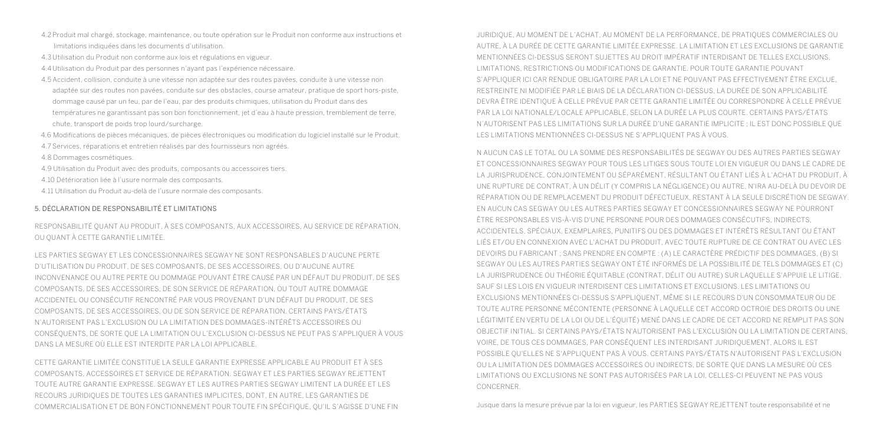- 4.2 Produit mal chargé, stockage, maintenance, ou toute opération sur le Produit non conforme aux instructions et limitations indiquées dans les documents d'utilisation.
- 4.3 Utilisation du Produit non conforme aux lois et régulations en vigueur.
- 4.4 Utilisation du Produit par des personnes n'ayant pas l'expérience nécessaire.
- 4.5 Accident, collision, conduite à une vitesse non adaptée sur des routes pavées, conduite à une vitesse non adaptée sur des routes non pavées, conduite sur des obstacles, course amateur, pratique de sport hors-piste, dommage causé par un feu, par de l'eau, par des produits chimiques, utilisation du Produit dans des températures ne garantissant pas son bon fonctionnement, jet d'eau à haute pression, tremblement de terre, chute, transport de poids trop lourd/surcharge.
- 4.6 Modifications de pièces mécaniques, de pièces électroniques ou modification du logiciel installé sur le Produit.
- 4.7 Services, réparations et entretien réalisés par des fournisseurs non agréés.
- 4.8 Dommages cosmétiques.
- 4.9 Utilisation du Produit avec des produits, composants ou accessoires tiers.
- 4.10 Détérioration liée à l'usure normale des composants.
- 4.11 Utilisation du Produit au-delà de l'usure normale des composants.

#### 5. DÉCLARATION DE RESPONSABILITÉ ET LIMITATIONS

RESPONSABILITÉ QUANT AU PRODUIT, À SES COMPOSANTS, AUX ACCESSOIRES, AU SERVICE DE RÉPARATION, OU QUANT À CETTE GARANTIE LIMITÉE.

LES PARTIES SEGWAY ET LES CONCESSIONNAIRES SEGWAY NE SONT RESPONSABLES D'AUCUNE PERTE D'UTILISATION DU PRODUIT, DE SES COMPOSANTS, DE SES ACCESSOIRES, OU D'AUCUNE AUTRE INCONVENANCE OU AUTRE PERTE OU DOMMAGE POUVANT ÊTRE CAUSÉ PAR UN DÉFAUT DU PRODUIT, DE SES COMPOSANTS, DE SES ACCESSOIRES, DE SON SERVICE DE RÉPARATION, OU TOUT AUTRE DOMMAGE ACCIDENTEL OU CONSÉCUTIF RENCONTRÉ PAR VOUS PROVENANT D'UN DÉFAUT DU PRODUIT, DE SES COMPOSANTS, DE SES ACCESSOIRES, OU DE SON SERVICE DE RÉPARATION. CERTAINS PAYS/ÉTATS N'AUTORISENT PAS L'EXCLUSION OU LA LIMITATION DES DOMMAGES-INTÉRÊTS ACCESSOIRES OU CONSÉQUENTS, DE SORTE QUE LA LIMITATION OU L'EXCLUSION CI-DESSUS NE PEUT PAS S'APPLIQUER À VOUS DANS LA MESURE OÙ ELLE EST INTERDITE PAR LA LOI APPLICABLE.

CETTE GARANTIE LIMITÉE CONSTITUE LA SEULE GARANTIE EXPRESSE APPLICABLE AU PRODUIT ET À SES COMPOSANTS, ACCESSOIRES ET SERVICE DE RÉPARATION. SEGWAY ET LES PARTIES SEGWAY REJETTENT TOUTE AUTRE GARANTIE EXPRESSE. SEGWAY ET LES AUTRES PARTIES SEGWAY LIMITENT LA DURÉE ET LES RECOURS JURIDIQUES DE TOUTES LES GARANTIES IMPLICITES, DONT, EN AUTRE, LES GARANTIES DE COMMERCIALISATION ET DE BON FONCTIONNEMENT POUR TOUTE FIN SPÉCIFIQUE, QU'IL S'AGISSE D'UNE FIN

JURIDIQUE, AU MOMENT DE L'ACHAT, AU MOMENT DE LA PERFORMANCE, DE PRATIQUES COMMERCIALES OU AUTRE, À LA DURÉE DE CETTE GARANTIE LIMITÉE EXPRESSE. LA LIMITATION ET LES EXCLUSIONS DE GARANTIE MENTIONNÉES CI-DESSUS SERONT SUJETTES AU DROIT IMPÉRATIF INTERDISANT DE TELLES EXCLUSIONS, LIMITATIONS, RESTRICTIONS OU MODIFICATIONS DE GARANTIE. POUR TOUTE GARANTIE POUVANT S'APPLIQUER ICI CAR RENDUE OBLIGATOIRE PAR LA LOI ET NE POUVANT PAS EFFECTIVEMENT ÊTRE EXCLUE, RESTREINTE NI MODIFIÉE PAR LE BIAIS DE LA DÉCLARATION CI-DESSUS, LA DURÉE DE SON APPLICABILITÉ DEVRA ÊTRE IDENTIQUE À CELLE PRÉVUE PAR CETTE GARANTIE LIMITÉE OU CORRESPONDRE À CELLE PRÉVUE PAR LA LOI NATIONALE/LOCALE APPLICABLE, SELON LA DURÉE LA PLUS COURTE. CERTAINS PAYS/ÉTATS N'AUTORISENT PAS LES LIMITATIONS SUR LA DURÉE D'UNE GARANTIE IMPLICITE ; IL EST DONC POSSIBLE QUE LES LIMITATIONS MENTIONNÉES CI-DESSUS NE S'APPLIQUENT PAS À VOUS.

N AUCUN CAS LE TOTAL OU LA SOMME DES RESPONSABILITÉS DE SEGWAY OU DES AUTRES PARTIES SEGWAY ET CONCESSIONNAIRES SEGWAY POUR TOUS LES LITIGES SOUS TOUTE LOI EN VIGUEUR OU DANS LE CADRE DE LA JURISPRUDENCE, CONJOINTEMENT OU SÉPARÉMENT, RÉSULTANT OU ÉTANT LIÉS À L'ACHAT DU PRODUIT, À UNE RUPTURE DE CONTRAT, À UN DÉLIT (Y COMPRIS LA NÉGLIGENCE) OU AUTRE, N'IRA AU-DELÀ DU DEVOIR DE RÉPARATION OU DE REMPLACEMENT DU PRODUIT DÉFECTUEUX, RESTANT À LA SEULE DISCRÉTION DE SEGWAY. EN AUCUN CAS SEGWAY OU LES AUTRES PARTIES SEGWAY ET CONCESSIONNAIRES SEGWAY NE POURRONT ÊTRE RESPONSABLES VIS-À-VIS D'UNE PERSONNE POUR DES DOMMAGES CONSÉCUTIFS, INDIRECTS, ACCIDENTELS, SPÉCIAUX, EXEMPLAIRES, PUNITIFS OU DES DOMMAGES ET INTÉRÊTS RÉSULTANT OU ÉTANT LIÉS ET/OU EN CONNEXION AVEC L'ACHAT DU PRODUIT, AVEC TOUTE RUPTURE DE CE CONTRAT OU AVEC LES DEVOIRS DU FABRICANT ; SANS PRENDRE EN COMPTE : (A) LE CARACTÈRE PRÉDICTIF DES DOMMAGES, (B) SI SEGWAY OU LES AUTRES PARTIES SEGWAY ONT ÉTÉ INFORMÉS DE LA POSSIBILITÉ DE TELS DOMMAGES ET (C) LA JURISPRUDENCE OU THÉORIE ÉQUITABLE (CONTRAT, DÉLIT OU AUTRE) SUR LAQUELLE S'APPUIE LE LITIGE, SAUF SI LES LOIS EN VIGUEUR INTERDISENT CES LIMITATIONS ET EXCLUSIONS. LES LIMITATIONS OU EXCLUSIONS MENTIONNÉES CI-DESSUS S'APPLIQUENT, MÊME SI LE RECOURS D'UN CONSOMMATEUR OU DE TOUTE AUTRE PERSONNE MÉCONTENTE (PERSONNE À LAQUELLE CET ACCORD OCTROIE DES DROITS OU UNE LÉGITIMITÉ EN VERTU DE LA LOI OU DE L'ÉQUITÉ) MENÉ DANS LE CADRE DE CET ACCORD NE REMPLIT PAS SON OBJECTIF INITIAL. SI CERTAINS PAYS/ÉTATS N'AUTORISENT PAS L'EXCLUSION OU LA LIMITATION DE CERTAINS, VOIRE, DE TOUS CES DOMMAGES, PAR CONSÉQUENT LES INTERDISANT JURIDIQUEMENT, ALORS IL EST POSSIBLE QU'ELLES NE S'APPLIQUENT PAS À VOUS. CERTAINS PAYS/ÉTATS N'AUTORISENT PAS L'EXCLUSION OU LA LIMITATION DES DOMMAGES ACCESSOIRES OU INDIRECTS, DE SORTE QUE DANS LA MESURE OÙ CES LIMITATIONS OU EXCLUSIONS NE SONT PAS AUTORISÉES PAR LA LOI, CELLES-CI PEUVENT NE PAS VOUS **CONCERNER** 

Jusque dans la mesure prévue par la loi en vigueur, les PARTIES SEGWAY REJETTENT toute responsabilité et ne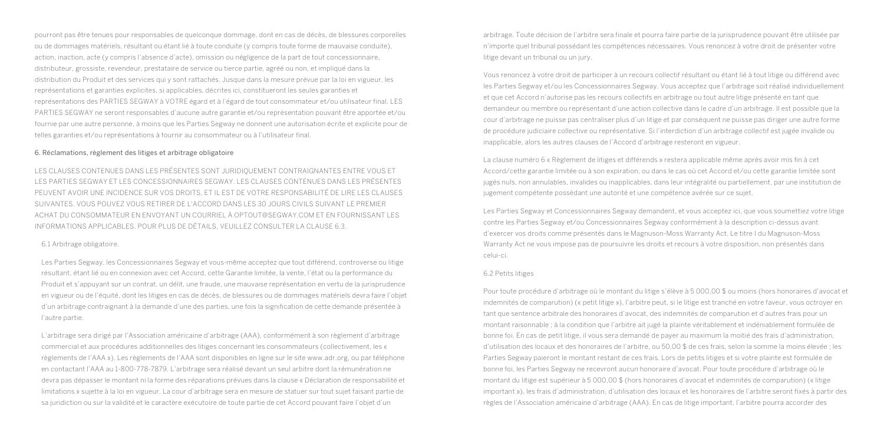pourront pas être tenues pour responsables de quelconque dommage, dont en cas de décès, de blessures corporelles ou de dommages matériels, résultant ou étant lié à toute conduite (y compris toute forme de mauvaise conduite), action, inaction, acte (y compris l'absence d'acte), omission ou négligence de la part de tout concessionnaire, distributeur, grossiste, revendeur, prestataire de service ou tierce partie, agréé ou non, et impliqué dans la distribution du Produit et des services qui y sont rattachés. Jusque dans la mesure prévue par la loi en vigueur, les représentations et garanties explicites, si applicables, décrites ici, constitueront les seules garanties et représentations des PARTIES SEGWAY à VOTRE égard et à l'égard de tout consommateur et/ou utilisateur final. LES PARTIES SEGWAY ne seront responsables d'aucune autre garantie et/ou représentation pouvant être apportée et/ou fournie par une autre personne, à moins que les Parties Segway ne donnent une autorisation écrite et explicite pour de telles garanties et/ou représentations à fournir au consommateur ou à l'utilisateur final.

#### 6. Réclamations, règlement des litiges et arbitrage obligatoire

LES CLAUSES CONTENUES DANS LES PRÉSENTES SONT JURIDIQUEMENT CONTRAIGNANTES ENTRE VOUS ET LES PARTIES SEGWAY ET LES CONCESSIONNAIRES SEGWAY. LES CLAUSES CONTENUES DANS LES PRÉSENTES PEUVENT AVOIR UNE INCIDENCE SUR VOS DROITS, ET IL EST DE VOTRE RESPONSABILITÉ DE LIRE LES CLAUSES SUIVANTES. VOUS POUVEZ VOUS RETIRER DE L'ACCORD DANS LES 30 JOURS CIVILS SUIVANT LE PREMIER ACHAT DU CONSOMMATEUR EN ENVOYANT UN COURRIEL À OPTOUT@SEGWAY.COM ET EN FOURNISSANT LES INFORMATIONS APPLICABLES. POUR PLUS DE DÉTAILS, VEUILLEZ CONSULTER LA CLAUSE 6.3.

#### 6.1 Arbitrage obligatoire.

Les Parties Segway, les Concessionnaires Segway et vous-même acceptez que tout différend, controverse ou litige résultant, étant lié ou en connexion avec cet Accord, cette Garantie limitée, la vente, l'état ou la performance du Produit et s'appuyant sur un contrat, un délit, une fraude, une mauvaise représentation en vertu de la jurisprudence en vigueur ou de l'équité, dont les litiges en cas de décès, de blessures ou de dommages matériels devra faire l'objet d'un arbitrage contraignant à la demande d'une des parties, une fois la signification de cette demande présentée à l'autre partie.

L'arbitrage sera dirigé par l'Association américaine d'arbitrage (AAA), conformément à son règlement d'arbitrage commercial et aux procédures additionnelles des litiges concernant les consommateurs (collectivement, les « règlements de l'AAA »). Les règlements de l'AAA sont disponibles en ligne sur le site www.adr.org, ou par téléphone en contactant l'AAA au 1-800-778-7879. L'arbitrage sera réalisé devant un seul arbitre dont la rémunération ne devra pas dépasser le montant ni la forme des réparations prévues dans la clause « Déclaration de responsabilité et limitations » sujette à la loi en vigueur. La cour d'arbitrage sera en mesure de statuer sur tout sujet faisant partie de sa juridiction ou sur la validité et le caractère exécutoire de toute partie de cet Accord pouvant faire l'objet d'un

arbitrage. Toute décision de l'arbitre sera finale et pourra faire partie de la jurisprudence pouvant être utilisée par n'importe quel tribunal possédant les compétences nécessaires. Vous renoncez à votre droit de présenter votre litige devant un tribunal ou un jury.

Vous renoncez à votre droit de participer à un recours collectif résultant ou étant lié à tout litige ou différend avec les Parties Segway et/ou les Concessionnaires Segway. Vous acceptez que l'arbitrage soit réalisé individuellement et que cet Accord n'autorise pas les recours collectifs en arbitrage ou tout autre litige présenté en tant que demandeur ou membre ou représentant d'une action collective dans le cadre d'un arbitrage. Il est possible que la cour d'arbitrage ne puisse pas centraliser plus d'un litige et par conséquent ne puisse pas diriger une autre forme de procédure judiciaire collective ou représentative. Si l'interdiction d'un arbitrage collectif est jugée invalide ou inapplicable, alors les autres clauses de l'Accord d'arbitrage resteront en vigueur.

La clause numéro 6 « Règlement de litiges et différends » restera applicable même après avoir mis fin à cet Accord/cette garantie limitée ou à son expiration, ou dans le cas où cet Accord et/ou cette garantie limitée sont jugés nuls, non annulables, invalides ou inapplicables, dans leur intégralité ou partiellement, par une institution de jugement compétente possédant une autorité et une compétence avérée sur ce sujet.

Les Parties Segway et Concessionnaires Segway demandent, et vous acceptez ici, que vous soumettiez votre litige contre les Parties Segway et/ou Concessionnaires Segway conformément à la description ci-dessus avant d'exercer vos droits comme présentés dans le Magnuson-Moss Warranty Act. Le titre I du Magnuson-Moss Warranty Act ne vous impose pas de poursuivre les droits et recours à votre disposition, non présentés dans celui-ci.

#### 6.2 Petits litiges

Pour toute procédure d'arbitrage où le montant du litige s'élève à 5 000,00 \$ ou moins (hors honoraires d'avocat et indemnités de comparution) (« petit litige »), l'arbitre peut, si le litige est tranché en votre faveur, vous octroyer en tant que sentence arbitrale des honoraires d'avocat, des indemnités de comparution et d'autres frais pour un montant raisonnable ; à la condition que l'arbitre ait jugé la plainte véritablement et indéniablement formulée de bonne foi. En cas de petit litige, il vous sera demandé de payer au maximum la moitié des frais d'administration, d'utilisation des locaux et des honoraires de l'arbitre, ou 50,00 \$ de ces frais, selon la somme la moins élevée ; les Parties Segway paieront le montant restant de ces frais. Lors de petits litiges et si votre plainte est formulée de bonne foi, les Parties Segway ne recevront aucun honoraire d'avocat. Pour toute procédure d'arbitrage où le montant du litige est supérieur à 5 000,00 \$ (hors honoraires d'avocat et indemnités de comparution) (« litige important »), les frais d'administration, d'utilisation des locaux et les honoraires de l'arbitre seront fixés à partir des règles de l'Association américaine d'arbitrage (AAA). En cas de litige important, l'arbitre pourra accorder des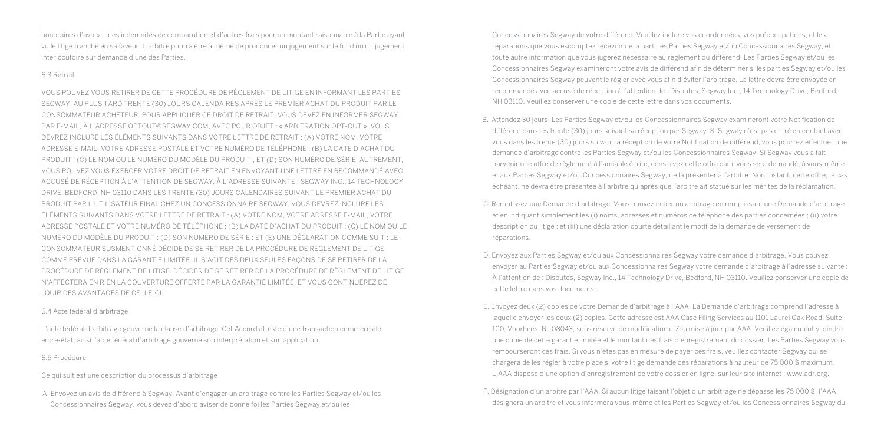honoraires d'avocat, des indemnités de comparution et d'autres frais pour un montant raisonnable à la Partie ayant vu le litige tranché en sa faveur. L'arbitre pourra être à même de prononcer un jugement sur le fond ou un jugement interlocutoire sur demande d'une des Parties.

#### 6.3 Retrait

VOUS POUVEZ VOUS RETIRER DE CETTE PROCÉDURE DE RÈGLEMENT DE LITIGE EN INFORMANT LES PARTIES SEGWAY, AU PLUS TARD TRENTE (30) JOURS CALENDAIRES APRÈS LE PREMIER ACHAT DU PRODUIT PAR LE CONSOMMATEUR ACHETEUR. POUR APPLIQUER CE DROIT DE RETRAIT, VOUS DEVEZ EN INFORMER SEGWAY PAR E-MAIL, À L'ADRESSE OPTOUT@SEGWAY.COM, AVEC POUR OBJET : « ARBITRATION OPT-OUT ». VOUS DEVREZ INCLURE LES ÉLÉMENTS SUIVANTS DANS VOTRE LETTRE DE RETRAIT : (A) VOTRE NOM, VOTRE ADRESSE E-MAIL, VOTRE ADRESSE POSTALE ET VOTRE NUMÉRO DE TÉLÉPHONE ; (B) LA DATE D'ACHAT DU PRODUIT ; (C) LE NOM OU LE NUMÉRO DU MODÈLE DU PRODUIT ; ET (D) SON NUMÉRO DE SÉRIE. AUTREMENT, VOUS POUVEZ VOUS EXERCER VOTRE DROIT DE RETRAIT EN ENVOYANT UNE LETTRE EN RECOMMANDÉ AVEC ACCUSÉ DE RÉCEPTION À L'ATTENTION DE SEGWAY, À L'ADRESSE SUIVANTE : SEGWAY INC., 14 TECHNOLOGY DRIVE, BEDFORD, NH 03110 DANS LES TRENTE (30) JOURS CALENDAIRES SUIVANT LE PREMIER ACHAT DU PRODUIT PAR L'UTILISATEUR FINAL CHEZ UN CONCESSIONNAIRE SEGWAY. VOUS DEVREZ INCLURE LES ÉLÉMENTS SUIVANTS DANS VOTRE LETTRE DE RETRAIT : (A) VOTRE NOM, VOTRE ADRESSE E-MAIL, VOTRE ADRESSE POSTALE ET VOTRE NUMÉRO DE TÉLÉPHONE ; (B) LA DATE D'ACHAT DU PRODUIT ; (C) LE NOM OU LE NUMÉRO DU MODÈLE DU PRODUIT ; (D) SON NUMÉRO DE SÉRIE ; ET (E) UNE DÉCLARATION COMME SUIT : LE CONSOMMATEUR SUSMENTIONNÉ DÉCIDE DE SE RETIRER DE LA PROCÉDURE DE RÈGLEMENT DE LITIGE COMME PRÉVUE DANS LA GARANTIE LIMITÉE. IL S'AGIT DES DEUX SEULES FAÇONS DE SE RETIRER DE LA PROCÉDURE DE RÈGLEMENT DE LITIGE. DÉCIDER DE SE RETIRER DE LA PROCÉDURE DE RÈGLEMENT DE LITIGE N'AFFECTERA EN RIEN LA COUVERTURE OFFERTE PAR LA GARANTIE LIMITÉE, ET VOUS CONTINUEREZ DE JOUIR DES AVANTAGES DE CELLE-CI.

#### 6.4 Acte fédéral d'arbitrage

L'acte fédéral d'arbitrage gouverne la clause d'arbitrage. Cet Accord atteste d'une transaction commerciale entre-état, ainsi l'acte fédéral d'arbitrage gouverne son interprétation et son application.

#### 6.5 Procédure

Ce qui suit est une description du processus d'arbitrage

A. Envoyez un avis de différend à Segway. Avant d'engager un arbitrage contre les Parties Segway et/ou les Concessionnaires Segway, vous devez d'abord aviser de bonne foi les Parties Segway et/ou les

Concessionnaires Segway de votre différend. Veuillez inclure vos coordonnées, vos préoccupations, et les réparations que vous escomptez recevoir de la part des Parties Segway et/ou Concessionnaires Segway, et toute autre information que vous jugerez nécessaire au règlement du différend. Les Parties Segway et/ou les Concessionnaires Segway examineront votre avis de différend afin de déterminer si les parties Segway et/ou les Concessionnaires Segway peuvent le régler avec vous afin d'éviter l'arbitrage. La lettre devra être envoyée en recommandé avec accusé de réception à l'attention de : Disputes, Segway Inc., 14 Technology Drive, Bedford, NH 03110. Veuillez conserver une copie de cette lettre dans vos documents.

- B. Attendez 30 jours. Les Parties Segway et/ou les Concessionnaires Segway examineront votre Notification de différend dans les trente (30) jours suivant sa réception par Segway. Si Segway n'est pas entré en contact avec vous dans les trente (30) jours suivant la réception de votre Notification de différend, vous pourrez effectuer une demande d'arbitrage contre les Parties Segway et/ou les Concessionnaires Segway. Si Segway vous a fait parvenir une offre de règlement à l'amiable écrite, conservez cette offre car il vous sera demandé, à vous-même et aux Parties Segway et/ou Concessionnaires Segway, de la présenter à l'arbitre. Nonobstant, cette offre, le cas échéant, ne devra être présentée à l'arbitre qu'après que l'arbitre ait statué sur les mérites de la réclamation.
- C. Remplissez une Demande d'arbitrage. Vous pouvez initier un arbitrage en remplissant une Demande d'arbitrage et en indiquant simplement les (i) noms, adresses et numéros de téléphone des parties concernées ; (ii) votre description du litige ; et (iii) une déclaration courte détaillant le motif de la demande de versement de réparations.
- D. Envoyez aux Parties Segway et/ou aux Concessionnaires Segway votre demande d'arbitrage. Vous pouvez envoyer au Parties Segway et/ou aux Concessionnaires Segway votre demande d'arbitrage à l'adresse suivante : À l'attention de : Disputes, Segway Inc., 14 Technology Drive, Bedford, NH 03110. Veuillez conserver une copie de cette lettre dans vos documents.
- E. Envoyez deux (2) copies de votre Demande d'arbitrage à l'AAA. La Demande d'arbitrage comprend l'adresse à laquelle envoyer les deux (2) copies. Cette adresse est AAA Case Filing Services au 1101 Laurel Oak Road, Suite 100, Voorhees, NJ 08043, sous réserve de modification et/ou mise à jour par AAA. Veuillez également y joindre une copie de cette garantie limitée et le montant des frais d'enregistrement du dossier. Les Parties Segway vous rembourseront ces frais. Si vous n'êtes pas en mesure de payer ces frais, veuillez contacter Segway qui se chargera de les régler à votre place si votre litige demande des réparations à hauteur de 75 000 \$ maximum. L'AAA dispose d'une option d'enregistrement de votre dossier en ligne, sur leur site internet : www.adr.org.
- F. Désignation d'un arbitre par l'AAA. Si aucun litige faisant l'objet d'un arbitrage ne dépasse les 75 000 \$, l'AAA désignera un arbitre et vous informera vous-même et les Parties Segway et/ou les Concessionnaires Segway du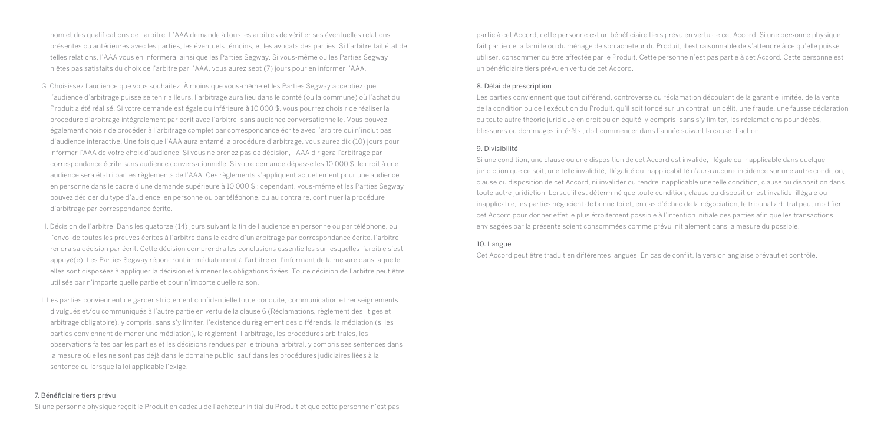nom et des qualifications de l'arbitre. L'AAA demande à tous les arbitres de vérifier ses éventuelles relations présentes ou antérieures avec les parties, les éventuels témoins, et les avocats des parties. Si l'arbitre fait état de telles relations, l'AAA vous en informera, ainsi que les Parties Segway. Si vous-même ou les Parties Segway n'êtes pas satisfaits du choix de l'arbitre par l'AAA, vous aurez sept (7) jours pour en informer l'AAA.

- G. Choisissez l'audience que vous souhaitez. À moins que vous-même et les Parties Segway acceptiez que l'audience d'arbitrage puisse se tenir ailleurs, l'arbitrage aura lieu dans le comté (ou la commune) où l'achat du Produit a été réalisé. Si votre demande est égale ou inférieure à 10 000 \$, vous pourrez choisir de réaliser la procédure d'arbitrage intégralement par écrit avec l'arbitre, sans audience conversationnelle. Vous pouvez également choisir de procéder à l'arbitrage complet par correspondance écrite avec l'arbitre qui n'inclut pas d'audience interactive. Une fois que l'AAA aura entamé la procédure d'arbitrage, vous aurez dix (10) jours pour informer l'AAA de votre choix d'audience. Si vous ne prenez pas de décision, l'AAA dirigera l'arbitrage par correspondance écrite sans audience conversationnelle. Si votre demande dépasse les 10 000 \$, le droit à une audience sera établi par les règlements de l'AAA. Ces règlements s'appliquent actuellement pour une audience en personne dans le cadre d'une demande supérieure à 10 000 \$ ; cependant, vous-même et les Parties Segway pouvez décider du type d'audience, en personne ou par téléphone, ou au contraire, continuer la procédure d'arbitrage par correspondance écrite.
- H. Décision de l'arbitre. Dans les quatorze (14) jours suivant la fin de l'audience en personne ou par téléphone, ou l'envoi de toutes les preuves écrites à l'arbitre dans le cadre d'un arbitrage par correspondance écrite, l'arbitre rendra sa décision par écrit. Cette décision comprendra les conclusions essentielles sur lesquelles l'arbitre s'est appuyé(e). Les Parties Segway répondront immédiatement à l'arbitre en l'informant de la mesure dans laquelle elles sont disposées à appliquer la décision et à mener les obligations fixées. Toute décision de l'arbitre peut être utilisée par n'importe quelle partie et pour n'importe quelle raison.
- I. Les parties conviennent de garder strictement confidentielle toute conduite, communication et renseignements divulgués et/ou communiqués à l'autre partie en vertu de la clause 6 (Réclamations, règlement des litiges et arbitrage obligatoire), y compris, sans s'y limiter, l'existence du règlement des différends, la médiation (si les parties conviennent de mener une médiation), le règlement, l'arbitrage, les procédures arbitrales, les observations faites par les parties et les décisions rendues par le tribunal arbitral, y compris ses sentences dans la mesure où elles ne sont pas déjà dans le domaine public, sauf dans les procédures judiciaires liées à la sentence ou lorsque la loi applicable l'exige.

#### 7. Bénéficiaire tiers prévu

Si une personne physique reçoit le Produit en cadeau de l'acheteur initial du Produit et que cette personne n'est pas

partie à cet Accord, cette personne est un bénéficiaire tiers prévu en vertu de cet Accord. Si une personne physique fait partie de la famille ou du ménage de son acheteur du Produit, il est raisonnable de s'attendre à ce qu'elle puisse utiliser, consommer ou être affectée par le Produit. Cette personne n'est pas partie à cet Accord. Cette personne est un bénéficiaire tiers prévu en vertu de cet Accord.

#### 8. Délai de prescription

Les parties conviennent que tout différend, controverse ou réclamation découlant de la garantie limitée, de la vente, de la condition ou de l'exécution du Produit, qu'il soit fondé sur un contrat, un délit, une fraude, une fausse déclaration ou toute autre théorie juridique en droit ou en équité, y compris, sans s'y limiter, les réclamations pour décès, blessures ou dommages-intérêts , doit commencer dans l'année suivant la cause d'action.

#### 9. Divisibilité

Si une condition, une clause ou une disposition de cet Accord est invalide, illégale ou inapplicable dans quelque juridiction que ce soit, une telle invalidité, illégalité ou inapplicabilité n'aura aucune incidence sur une autre condition, clause ou disposition de cet Accord, ni invalider ou rendre inapplicable une telle condition, clause ou disposition dans toute autre juridiction. Lorsqu'il est déterminé que toute condition, clause ou disposition est invalide, illégale ou inapplicable, les parties négocient de bonne foi et, en cas d'échec de la négociation, le tribunal arbitral peut modifier cet Accord pour donner effet le plus étroitement possible à l'intention initiale des parties afin que les transactions envisagées par la présente soient consommées comme prévu initialement dans la mesure du possible.

#### 10. Langue

Cet Accord peut être traduit en différentes langues. En cas de conflit, la version anglaise prévaut et contrôle.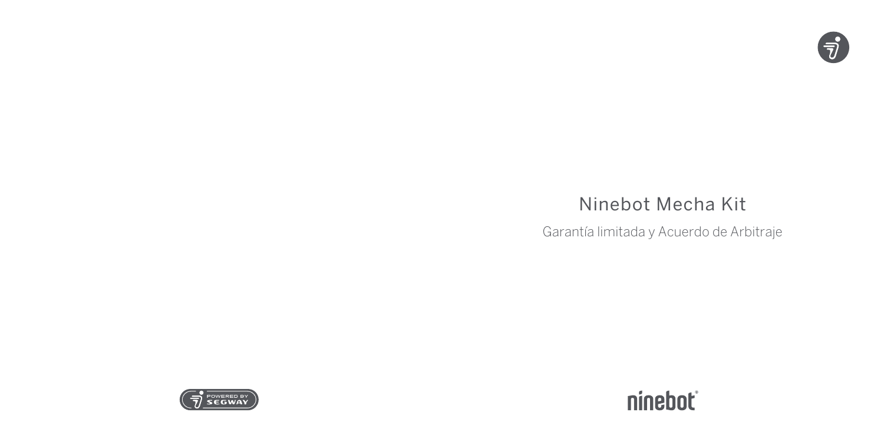

# Ninebot Mecha Kit

Garantía limitada y Acuerdo de Arbitraje



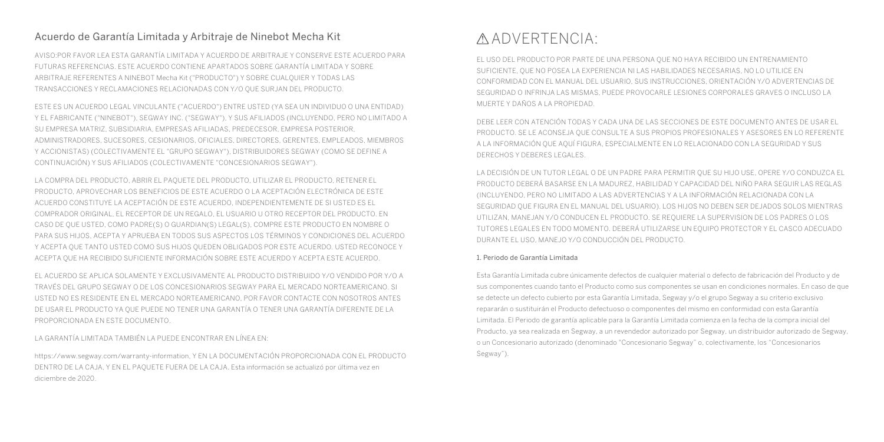### Acuerdo de Garantía Limitada y Arbitraje de Ninebot Mecha Kit

AVISO:POR FAVOR LEA ESTA GARANTÍA LIMITADA Y ACUERDO DE ARBITRAJE Y CONSERVE ESTE ACUERDO PARA FUTURAS REFERENCIAS. ESTE ACUERDO CONTIENE APARTADOS SOBRE GARANTÍA LIMITADA Y SOBRE ARBITRAJE REFERENTES A NINEBOT Mecha Kit ("PRODUCTO") Y SOBRE CUALQUIER Y TODAS LAS TRANSACCIONES Y RECLAMACIONES RELACIONADAS CON Y/O QUE SURJAN DEL PRODUCTO.

ESTE ES UN ACUERDO LEGAL VINCULANTE ("ACUERDO") ENTRE USTED (YA SEA UN INDIVIDUO O UNA ENTIDAD) Y EL FABRICANTE ("NINEBOT"), SEGWAY INC. ("SEGWAY"), Y SUS AFILIADOS (INCLUYENDO, PERO NO LIMITADO A SU EMPRESA MATRIZ, SUBSIDIARIA, EMPRESAS AFILIADAS, PREDECESOR, EMPRESA POSTERIOR, ADMINISTRADORES, SUCESORES, CESIONARIOS, OFICIALES, DIRECTORES, GERENTES, EMPLEADOS, MIEMBROS Y ACCIONISTAS) (COLECTIVAMENTE EL "GRUPO SEGWAY"), DISTRIBUIDORES SEGWAY (COMO SE DEFINE A CONTINUACIÓN) Y SUS AFILIADOS (COLECTIVAMENTE "CONCESIONARIOS SEGWAY").

LA COMPRA DEL PRODUCTO, ABRIR EL PAQUETE DEL PRODUCTO, UTILIZAR EL PRODUCTO, RETENER EL PRODUCTO, APROVECHAR LOS BENEFICIOS DE ESTE ACUERDO O LA ACEPTACIÓN ELECTRÓNICA DE ESTE ACUERDO CONSTITUYE LA ACEPTACIÓN DE ESTE ACUERDO, INDEPENDIENTEMENTE DE SI USTED ES EL COMPRADOR ORIGINAL, EL RECEPTOR DE UN REGALO, EL USUARIO U OTRO RECEPTOR DEL PRODUCTO. EN CASO DE QUE USTED, COMO PADRE(S) O GUARDIAN(S) LEGAL(S), COMPRE ESTE PRODUCTO EN NOMBRE O PARA SUS HIJOS, ACEPTA Y APRUEBA EN TODOS SUS ASPECTOS LOS TÉRMINOS Y CONDICIONES DEL ACUERDO Y ACEPTA QUE TANTO USTED COMO SUS HIJOS QUEDEN OBLIGADOS POR ESTE ACUERDO. USTED RECONOCE Y ACEPTA QUE HA RECIBIDO SUFICIENTE INFORMACIÓN SOBRE ESTE ACUERDO Y ACEPTA ESTE ACUERDO.

EL ACUERDO SE APLICA SOLAMENTE Y EXCLUSIVAMENTE AL PRODUCTO DISTRIBUIDO Y/O VENDIDO POR Y/O A TRAVÉS DEL GRUPO SEGWAY O DE LOS CONCESIONARIOS SEGWAY PARA EL MERCADO NORTEAMERICANO. SI USTED NO ES RESIDENTE EN EL MERCADO NORTEAMERICANO, POR FAVOR CONTACTE CON NOSOTROS ANTES DE USAR EL PRODUCTO YA QUE PUEDE NO TENER UNA GARANTÍA O TENER UNA GARANTÍA DIFERENTE DE LA PROPORCIONADA EN ESTE DOCUMENTO.

LA GARANTÍA LIMITADA TAMBIÉN LA PUEDE ENCONTRAR EN LÍNEA EN:

https://www.segway.com/warranty-information, Y EN LA DOCUMENTACIÓN PROPORCIONADA CON EL PRODUCTO DENTRO DE LA CAJA, Y EN EL PAQUETE FUERA DE LA CAJA. Esta información se actualizó por última vez en diciembre de 2020.

## ADVERTENCIA:

EL USO DEL PRODUCTO POR PARTE DE UNA PERSONA QUE NO HAYA RECIBIDO UN ENTRENAMIENTO SUFICIENTE, QUE NO POSEA LA EXPERIENCIA NI LAS HABILIDADES NECESARIAS, NO LO UTILICE EN CONFORMIDAD CON EL MANUAL DEL USUARIO, SUS INSTRUCCIONES, ORIENTACIÓN Y/O ADVERTENCIAS DE SEGURIDAD O INFRINJA LAS MISMAS, PUEDE PROVOCARLE LESIONES CORPORALES GRAVES O INCLUSO LA MUERTE Y DAÑOS A LA PROPIEDAD.

DEBE LEER CON ATENCIÓN TODAS Y CADA UNA DE LAS SECCIONES DE ESTE DOCUMENTO ANTES DE USAR EL PRODUCTO. SE LE ACONSEJA QUE CONSULTE A SUS PROPIOS PROFESIONALES Y ASESORES EN LO REFERENTE A LA INFORMACIÓN QUE AQUÍ FIGURA, ESPECIALMENTE EN LO RELACIONADO CON LA SEGURIDAD Y SUS DERECHOS Y DEBERES LEGALES.

LA DECISIÓN DE UN TUTOR LEGAL O DE UN PADRE PARA PERMITIR QUE SU HIJO USE, OPERE Y/O CONDUZCA EL PRODUCTO DEBERÁ BASARSE EN LA MADUREZ, HABILIDAD Y CAPACIDAD DEL NIÑO PARA SEGUIR LAS REGLAS (INCLUYENDO, PERO NO LIMITADO A LAS ADVERTENCIAS Y A LA INFORMACIÓN RELACIONADA CON LA SEGURIDAD QUE FIGURA EN EL MANUAL DEL USUARIO). LOS HIJOS NO DEBEN SER DEJADOS SOLOS MIENTRAS UTILIZAN, MANEJAN Y/O CONDUCEN EL PRODUCTO. SE REQUIERE LA SUPERVISION DE LOS PADRES O LOS TUTORES LEGALES EN TODO MOMENTO. DEBERÁ UTILIZARSE UN EQUIPO PROTECTOR Y EL CASCO ADECUADO DURANTE EL USO, MANEJO Y/O CONDUCCIÓN DEL PRODUCTO.

#### 1. Periodo de Garantía Limitada

Esta Garantía Limitada cubre únicamente defectos de cualquier material o defecto de fabricación del Producto y de sus componentes cuando tanto el Producto como sus componentes se usan en condiciones normales. En caso de que se detecte un defecto cubierto por esta Garantía Limitada, Segway y/o el grupo Segway a su criterio exclusivo repararán o sustituirán el Producto defectuoso o componentes del mismo en conformidad con esta Garantía Limitada. El Periodo de garantía aplicable para la Garantía Limitada comienza en la fecha de la compra inicial del Producto, ya sea realizada en Segway, a un revendedor autorizado por Segway, un distribuidor autorizado de Segway, o un Concesionario autorizado (denominado "Concesionario Segway" o, colectivamente, los "Concesionarios Segway").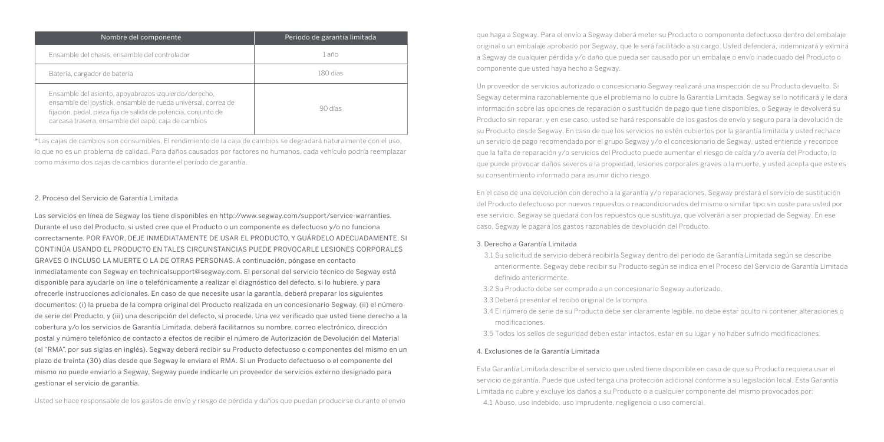| Nombre del componente                                                                                                                                                                                                                          | Periodo de garantía limitada |
|------------------------------------------------------------------------------------------------------------------------------------------------------------------------------------------------------------------------------------------------|------------------------------|
| Ensamble del chasis, ensamble del controlador                                                                                                                                                                                                  | 1 año                        |
| Batería, cargador de batería                                                                                                                                                                                                                   | 180 días                     |
| Ensamble del asiento, apoyabrazos izquierdo/derecho,<br>ensamble del joystick, ensamble de rueda universal, correa de<br>fijación, pedal, pieza fija de salida de potencia, conjunto de<br>carcasa trasera, ensamble del capó; caja de cambios | 90 días                      |

\*Las cajas de cambios son consumibles. El rendimiento de la caja de cambios se degradará naturalmente con el uso, lo que no es un problema de calidad. Para daños causados por factores no humanos, cada vehículo podría reemplazar como máximo dos cajas de cambios durante el período de garantía.

#### 2. Proceso del Servicio de Garantía Limitada

Los servicios en línea de Segway los tiene disponibles en http://www.segway.com/support/service-warranties. Durante el uso del Producto, si usted cree que el Producto o un componente es defectuoso y/o no funciona correctamente. POR FAVOR, DEJE INMEDIATAMENTE DE USAR EL PRODUCTO, Y GUÁRDELO ADECUADAMENTE. SI CONTINÚA USANDO EL PRODUCTO EN TALES CIRCUNSTANCIAS PUEDE PROVOCARLE LESIONES CORPORALES GRAVES O INCLUSO LA MUERTE O LA DE OTRAS PERSONAS. A continuación, póngase en contacto inmediatamente con Segway en technicalsupport@segway.com. El personal del servicio técnico de Segway está disponible para ayudarle on line o telefónicamente a realizar el diagnóstico del defecto, si lo hubiere, y para ofrecerle instrucciones adicionales. En caso de que necesite usar la garantía, deberá preparar los siguientes documentos: (i) la prueba de la compra original del Producto realizada en un concesionario Segway, (ii) el número de serie del Producto, y (iii) una descripción del defecto, si procede. Una vez verificado que usted tiene derecho a la cobertura y/o los servicios de Garantía Limitada, deberá facilitarnos su nombre, correo electrónico, dirección postal y número telefónico de contacto a efectos de recibir el número de Autorización de Devolución del Material (el "RMA", por sus siglas en inglés). Segway deberá recibir su Producto defectuoso o componentes del mismo en un plazo de treinta (30) días desde que Segway le enviara el RMA. Si un Producto defectuoso o el componente del mismo no puede enviarlo a Segway, Segway puede indicarle un proveedor de servicios externo designado para gestionar el servicio de garantía.

Usted se hace responsable de los gastos de envío y riesgo de pérdida y daños que puedan producirse durante el envío

que haga a Segway. Para el envío a Segway deberá meter su Producto o componente defectuoso dentro del embalaje original o un embalaje aprobado por Segway, que le será facilitado a su cargo. Usted defenderá, indemnizará y eximirá a Segway de cualquier pérdida y/o daño que pueda ser causado por un embalaje o envío inadecuado del Producto o componente que usted haya hecho a Segway.

Un proveedor de servicios autorizado o concesionario Segway realizará una inspección de su Producto devuelto. Si Segway determina razonablemente que el problema no lo cubre la Garantía Limitada, Segway se lo notificará y le dará información sobre las opciones de reparación o sustitución de pago que tiene disponibles, o Segway le devolverá su Producto sin reparar, y en ese caso, usted se hará responsable de los gastos de envío y seguro para la devolución de su Producto desde Segway. En caso de que los servicios no estén cubiertos por la garantía limitada y usted rechace un servicio de pago recomendado por el grupo Segway y/o el concesionario de Segway, usted entiende y reconoce que la falta de reparación y/o servicios del Producto puede aumentar el riesgo de caída y/o avería del Producto, lo que puede provocar daños severos a la propiedad, lesiones corporales graves o la muerte, y usted acepta que este es su consentimiento informado para asumir dicho riesgo.

En el caso de una devolución con derecho a la garantía y/o reparaciones, Segway prestará el servicio de sustitución del Producto defectuoso por nuevos repuestos o reacondicionados del mismo o similar tipo sin coste para usted por ese servicio. Segway se quedará con los repuestos que sustituya, que volverán a ser propiedad de Segway. En ese caso, Segway le pagará los gastos razonables de devolución del Producto.

#### 3. Derecho a Garantía Limitada

- 3.1 Su solicitud de servicio deberá recibirla Segway dentro del periodo de Garantía Limitada según se describe anteriormente. Segway debe recibir su Producto según se indica en el Proceso del Servicio de Garantía Limitada definido anteriormente.
- 3.2 Su Producto debe ser comprado a un concesionario Segway autorizado.
- 3.3 Deberá presentar el recibo original de la compra.
- 3.4 El número de serie de su Producto debe ser claramente legible, no debe estar oculto ni contener alteraciones o modificaciones.
- 3.5 Todos los sellos de seguridad deben estar intactos, estar en su lugar y no haber sufrido modificaciones.

#### 4. Exclusiones de la Garantía Limitada

Esta Garantía Limitada describe el servicio que usted tiene disponible en caso de que su Producto requiera usar el servicio de garantía. Puede que usted tenga una protección adicional conforme a su legislación local. Esta Garantía Limitada no cubre y excluye los daños a su Producto o a cualquier componente del mismo provocados por:

4.1 Abuso, uso indebido, uso imprudente, negligencia o uso comercial.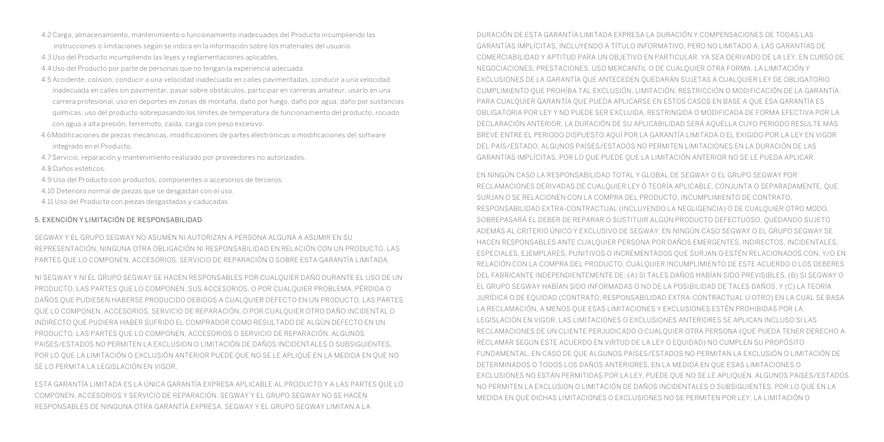- 4.2 Carga, almacenamiento, mantenimiento o funcionamiento inadecuados del Producto incumpliendo las instrucciones o limitaciones según se indica en la información sobre los materiales del usuario.
- 4.3 Uso del Producto incumpliendo las leyes y reglamentaciones aplicables.
- 4.4 Uso del Producto por parte de personas que no tengan la experiencia adecuada.
- 4.5 Accidente, colisión, conducir a una velocidad inadecuada en calles pavimentadas, conducir a una velocidad inadecuada en calles sin pavimentar, pasar sobre obstáculos, participar en carreras amateur, usarlo en una carrera profesional, uso en deportes en zonas de montaña, daño por fuego, daño por agua, daño por sustancias químicas, uso del producto sobrepasando los límites de temperatura de funcionamiento del producto, rociado con agua a alta presión, terremoto, caída, carga con peso excesivo.
- 4.6Modificaciones de piezas mecánicas, modificaciones de partes electrónicas o modificaciones del software integrado en el Producto.
- 4.7 Servicio, reparación y mantenimiento realizado por proveedores no autorizados.
- 4.8 Daños estéticos.
- 4.9 Uso del Producto con productos, componentes o accesorios de terceros.
- 4.10 Deterioro normal de piezas que se desgastan con el uso.
- 4.11 Uso del Producto con piezas desgastadas y caducadas.

#### 5. EXENCIÓN Y LIMITACIÓN DE RESPONSABILIDAD

SEGWAY Y EL GRUPO SEGWAY NO ASUMEN NI AUTORIZAN A PERSONA ALGUNA A ASUMIR EN SU REPRESENTACIÓN, NINGUNA OTRA OBLIGACIÓN NI RESPONSABILIDAD EN RELACIÓN CON UN PRODUCTO, LAS PARTES QUE LO COMPONEN, ACCESORIOS, SERVICIO DE REPARACIÓN O SOBRE ESTA GARANTÍA LIMITADA.

NI SEGWAY Y NI EL GRUPO SEGWAY SE HACEN RESPONSABLES POR CUALQUIER DAÑO DURANTE EL USO DE UN PRODUCTO, LAS PARTES QUE LO COMPONEN, SUS ACCESORIOS, O POR CUALQUIER PROBLEMA, PÉRDIDA O DAÑOS QUE PUDIESEN HABERSE PRODUCIDO DEBIDOS A CUALQUIER DEFECTO EN UN PRODUCTO, LAS PARTES QUE LO COMPONEN, ACCESORIOS, SERVICIO DE REPARACIÓN, O POR CUALQUIER OTRO DAÑO INCIDENTAL O INDIRECTO QUE PUDIERA HABER SUFRIDO EL COMPRADOR COMO RESULTADO DE ALGÚN DEFECTO EN UN PRODUCTO, LAS PARTES QUE LO COMPONEN, ACCESORIOS O SERVICIO DE REPARACIÓN. ALGUNOS PAíSES/ESTADOS NO PERMITEN LA EXCLUSION O LIMITACIÓN DE DAÑOS INCIDENTALES O SUBSIGUIENTES, POR LO QUE LA LIMITACIÓN O EXCLUSIÓN ANTERIOR PUEDE QUE NO SE LE APLIQUE EN LA MEDIDA EN QUE NO SE LO PERMITA LA LEGISLACIÓN EN VIGOR.

ESTA GARANTÍA LIMITADA ES LA ÚNICA GARANTÍA EXPRESA APLICABLE AL PRODUCTO Y A LAS PARTES QUE LO COMPONEN, ACCESORIOS Y SERVICIO DE REPARACIÓN. SEGWAY Y EL GRUPO SEGWAY NO SE HACEN RESPONSABLES DE NINGUNA OTRA GARANTÍA EXPRESA. SEGWAY Y EL GRUPO SEGWAY LIMITAN A LA

DURACIÓN DE ESTA GARANTÍA LIMITADA EXPRESA LA DURACIÓN Y COMPENSACIONES DE TODAS LAS GARANTÍAS IMPLÍCITAS, INCLUYENDO A TÍTULO INFORMATIVO, PERO NO LIMITADO A, LAS GARANTÍAS DE COMERCIABILIDAD Y APTITUD PARA UN OBJETIVO EN PARTICULAR, YA SEA DERIVADO DE LA LEY, EN CURSO DE NEGOCIACIONES, PRESTACIONES, USO MERCANTIL O DE CUALQUIER OTRA FORMA. LA LIMITACIÓN Y EXCLUSIONES DE LA GARANTÍA QUE ANTECEDEN QUEDARÁN SUJETAS A CUALQUIER LEY DE OBLIGATORIO CUMPLIMIENTO QUE PROHÍBA TAL EXCLUSIÓN, LIMITACIÓN, RESTRICCIÓN O MODIFICACIÓN DE LA GARANTÍA. PARA CUALQUIER GARANTÍA QUE PUEDA APLICARSE EN ESTOS CASOS EN BASE A QUE ESA GARANTÍA ES OBLIGATORIA POR LEY Y NO PUEDE SER EXCLUIDA, RESTRINGIDA O MODIFICADA DE FORMA EFECTIVA POR LA DECLARACIÓN ANTERIOR, LA DURACIÓN DE SU APLICABILIDAD SERÁ AQUELLA CUYO PERIODO RESULTE MÁS BREVE ENTRE EL PERIODO DISPUESTO AQUÍ POR LA GARANTÍA LIMITADA O EL EXIGIDO POR LA LEY EN VIGOR DEL PAÍS/ESTADO. ALGUNOS PAÍSES/ESTADOS NO PERMITEN LIMITACIONES EN LA DURACIÓN DE LAS GARANTÍAS IMPLÍCITAS, POR LO QUE PUEDE QUE LA LIMITACIÓN ANTERIOR NO SE LE PUEDA APLICAR.

EN NINGÚN CASO LA RESPONSABILIDAD TOTAL Y GLOBAL DE SEGWAY O EL GRUPO SEGWAY POR RECLAMACIONES DERIVADAS DE CUALQUIER LEY O TEORÍA APLICABLE, CONJUNTA O SEPARADAMENTE, QUE SURJAN O SE RELACIONEN CON LA COMPRA DEL PRODUCTO, INCUMPLIMIENTO DE CONTRATO, RESPONSABILIDAD EXTRA-CONTRACTUAL (INCLUYENDO LA NEGLIGENCIA) O DE CUALQUIER OTRO MODO, SOBREPASARÁ EL DEBER DE REPARAR O SUSTITUIR ALGÚN PRODUCTO DEFECTUOSO, QUEDANDO SUJETO ADEMÁS AL CRITERIO ÚNICO Y EXCLUSIVO DE SEGWAY. EN NINGÚN CASO SEGWAY O EL GRUPO SEGWAY SE HACEN RESPONSABLES ANTE CUALQUIER PERSONA POR DAÑOS EMERGENTES, INDIRECTOS, INCIDENTALES, ESPECIALES, EJEMPLARES, PUNITIVOS O INCREMENTADOS QUE SURJAN O ESTÉN RELACIONADOS CON, Y/O EN RELACIÓN CON LA COMPRA DEL PRODUCTO, CUALQUIER INCUMPLIMIENTO DE ESTE ACUERDO O LOS DEBERES DEL FABRICANTE INDEPENDIENTEMENTE DE: (A) SI TALES DAÑOS HABÍAN SIDO PREVISIBLES, (B) SI SEGWAY O EL GRUPO SEGWAY HABÍAN SIDO INFORMADAS O NO DE LA POSIBILIDAD DE TALES DAÑOS, Y (C) LA TEORÍA JURÍDICA O DE EQUIDAD (CONTRATO, RESPONSABILIDAD EXTRA-CONTRACTUAL U OTRO) EN LA CUAL SE BASA LA RECLAMACIÓN, A MENOS QUE ESAS LIMITACIONES Y EXCLUSIONES ESTÉN PROHIBIDAS POR LA LEGISLACIÓN EN VIGOR. LAS LIMITACIONES O EXCLUSIONES ANTERIORES SE APLICAN INCLUSO SI LAS RECLAMACIONES DE UN CLIENTE PERJUDICADO O CUALQUIER OTRA PERSONA (QUE PUEDA TENER DERECHO A RECLAMAR SEGÚN ESTE ACUERDO EN VIRTUD DE LA LEY O EQUIDAD) NO CUMPLEN SU PROPÓSITO FUNDAMENTAL. EN CASO DE QUE ALGUNOS PAÍSES/ESTADOS NO PERMITAN LA EXCLUSIÓN O LIMITACIÓN DE DETERMINADOS O TODOS LOS DAÑOS ANTERIORES, EN LA MEDIDA EN QUE ESAS LIMITACIONES O EXCLUSIONES NO ESTÁN PERMITIDAS POR LA LEY, PUEDE QUE NO SE LE APLIQUEN. ALGUNOS PAíSES/ESTADOS NO PERMITEN LA EXCLUSION O LIMITACIÓN DE DAÑOS INCIDENTALES O SUBSIGUIENTES, POR LO QUE EN LA MEDIDA EN QUE DICHAS LIMITACIONES O EXCLUSIONES NO SE PERMITEN POR LEY, LA LIMITACIÓN O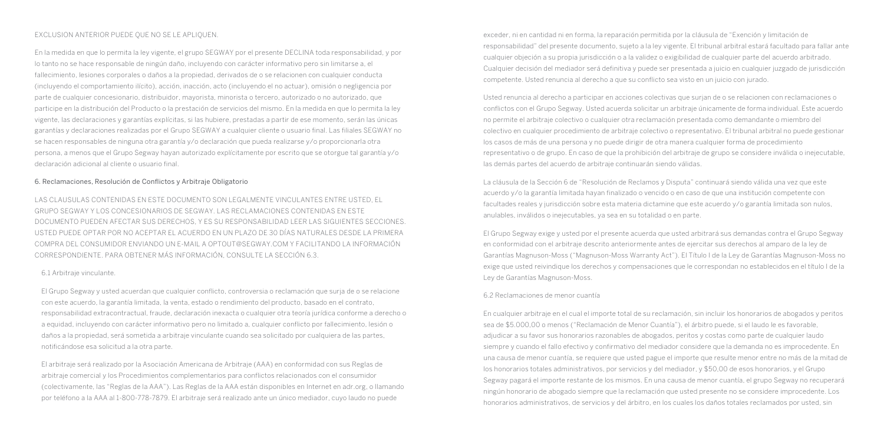#### EXCLUSION ANTERIOR PUEDE QUE NO SE LE APLIQUEN.

En la medida en que lo permita la ley vigente, el grupo SEGWAY por el presente DECLINA toda responsabilidad, y por lo tanto no se hace responsable de ningún daño, incluyendo con carácter informativo pero sin limitarse a, el fallecimiento, lesiones corporales o daños a la propiedad, derivados de o se relacionen con cualquier conducta (incluyendo el comportamiento ilícito), acción, inacción, acto (incluyendo el no actuar), omisión o negligencia por parte de cualquier concesionario, distribuidor, mayorista, minorista o tercero, autorizado o no autorizado, que participe en la distribución del Producto o la prestación de servicios del mismo. En la medida en que lo permita la ley vigente, las declaraciones y garantías explícitas, si las hubiere, prestadas a partir de ese momento, serán las únicas garantías y declaraciones realizadas por el Grupo SEGWAY a cualquier cliente o usuario final. Las filiales SEGWAY no se hacen responsables de ninguna otra garantía y/o declaración que pueda realizarse y/o proporcionarla otra persona, a menos que el Grupo Segway hayan autorizado explícitamente por escrito que se otorgue tal garantía y/o declaración adicional al cliente o usuario final.

#### 6. Reclamaciones, Resolución de Conflictos y Arbitraje Obligatorio

LAS CLAUSULAS CONTENIDAS EN ESTE DOCUMENTO SON LEGALMENTE VINCULANTES ENTRE USTED, EL GRUPO SEGWAY Y LOS CONCESIONARIOS DE SEGWAY. LAS RECLAMACIONES CONTENIDAS EN ESTE DOCUMENTO PUEDEN AFECTAR SUS DERECHOS, Y ES SU RESPONSABILIDAD LEER LAS SIGUIENTES SECCIONES. USTED PUEDE OPTAR POR NO ACEPTAR EL ACUERDO EN UN PLAZO DE 30 DÍAS NATURALES DESDE LA PRIMERA COMPRA DEL CONSUMIDOR ENVIANDO UN E-MAIL A OPTOUT@SEGWAY.COM Y FACILITANDO LA INFORMACIÓN CORRESPONDIENTE. PARA OBTENER MÁS INFORMACIÓN, CONSULTE LA SECCIÓN 6.3.

#### 6.1 Arbitraje vinculante.

El Grupo Segway y usted acuerdan que cualquier conflicto, controversia o reclamación que surja de o se relacione con este acuerdo, la garantía limitada, la venta, estado o rendimiento del producto, basado en el contrato, responsabilidad extracontractual, fraude, declaración inexacta o cualquier otra teoría jurídica conforme a derecho o a equidad, incluyendo con carácter informativo pero no limitado a, cualquier conflicto por fallecimiento, lesión o daños a la propiedad, será sometida a arbitraje vinculante cuando sea solicitado por cualquiera de las partes, notificándose esa solicitud a la otra parte.

El arbitraje será realizado por la Asociación Americana de Arbitraje (AAA) en conformidad con sus Reglas de arbitraje comercial y los Procedimientos complementarios para conflictos relacionados con el consumidor (colectivamente, las "Reglas de la AAA"). Las Reglas de la AAA están disponibles en Internet en adr.org, o llamando por teléfono a la AAA al 1-800-778-7879. El arbitraje será realizado ante un único mediador, cuyo laudo no puede

exceder, ni en cantidad ni en forma, la reparación permitida por la cláusula de "Exención y limitación de responsabilidad" del presente documento, sujeto a la ley vigente. El tribunal arbitral estará facultado para fallar ante cualquier objeción a su propia jurisdicción o a la validez o exigibilidad de cualquier parte del acuerdo arbitrado. Cualquier decisión del mediador será definitiva y puede ser presentada a juicio en cualquier juzgado de jurisdicción competente. Usted renuncia al derecho a que su conflicto sea visto en un juicio con jurado.

Usted renuncia al derecho a participar en acciones colectivas que surjan de o se relacionen con reclamaciones o conflictos con el Grupo Segway. Usted acuerda solicitar un arbitraje únicamente de forma individual. Este acuerdo no permite el arbitraje colectivo o cualquier otra reclamación presentada como demandante o miembro del colectivo en cualquier procedimiento de arbitraje colectivo o representativo. El tribunal arbitral no puede gestionar los casos de más de una persona y no puede dirigir de otra manera cualquier forma de procedimiento representativo o de grupo. En caso de que la prohibición del arbitraje de grupo se considere inválida o inejecutable, las demás partes del acuerdo de arbitraje continuarán siendo válidas.

La cláusula de la Sección 6 de "Resolución de Reclamos y Disputa" continuará siendo válida una vez que este acuerdo y/o la garantía limitada hayan finalizado o vencido o en caso de que una institución competente con facultades reales y jurisdicción sobre esta materia dictamine que este acuerdo y/o garantía limitada son nulos, anulables, inválidos o inejecutables, ya sea en su totalidad o en parte.

El Grupo Segway exige y usted por el presente acuerda que usted arbitrará sus demandas contra el Grupo Segway en conformidad con el arbitraje descrito anteriormente antes de ejercitar sus derechos al amparo de la ley de Garantías Magnuson-Moss ("Magnuson-Moss Warranty Act"). El Título I de la Ley de Garantías Magnuson-Moss no exige que usted reivindique los derechos y compensaciones que le correspondan no establecidos en el título I de la Ley de Garantías Magnuson-Moss.

#### 6.2 Reclamaciones de menor cuantía

En cualquier arbitraje en el cual el importe total de su reclamación, sin incluir los honorarios de abogados y peritos sea de \$5.000,00 o menos ("Reclamación de Menor Cuantía"), el árbitro puede, si el laudo le es favorable, adjudicar a su favor sus honorarios razonables de abogados, peritos y costas como parte de cualquier laudo siempre y cuando el fallo efectivo y confirmativo del mediador considere que la demanda no es improcedente. En una causa de menor cuantía, se requiere que usted pague el importe que resulte menor entre no más de la mitad de los honorarios totales administrativos, por servicios y del mediador, y \$50,00 de esos honorarios, y el Grupo Segway pagará el importe restante de los mismos. En una causa de menor cuantía, el grupo Segway no recuperará ningún honorario de abogado siempre que la reclamación que usted presente no se considere improcedente. Los honorarios administrativos, de servicios y del árbitro, en los cuales los daños totales reclamados por usted, sin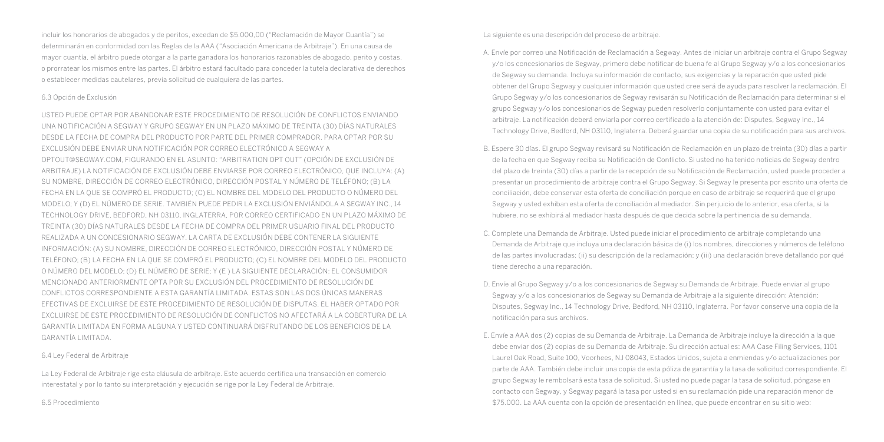incluir los honorarios de abogados y de peritos, excedan de \$5.000,00 ("Reclamación de Mayor Cuantía") se determinarán en conformidad con las Reglas de la AAA ("Asociación Americana de Arbitraje"). En una causa de mayor cuantía, el árbitro puede otorgar a la parte ganadora los honorarios razonables de abogado, perito y costas, o prorratear los mismos entre las partes. El árbitro estará facultado para conceder la tutela declarativa de derechos o establecer medidas cautelares, previa solicitud de cualquiera de las partes.

#### 6.3 Opción de Exclusión

USTED PUEDE OPTAR POR ABANDONAR ESTE PROCEDIMIENTO DE RESOLUCIÓN DE CONFLICTOS ENVIANDO UNA NOTIFICACIÓN A SEGWAY Y GRUPO SEGWAY EN UN PLAZO MÁXIMO DE TREINTA (30) DÍAS NATURALES DESDE LA FECHA DE COMPRA DEL PRODUCTO POR PARTE DEL PRIMER COMPRADOR. PARA OPTAR POR SU EXCLUSIÓN DEBE ENVIAR UNA NOTIFICACIÓN POR CORREO ELECTRÓNICO A SEGWAY A OPTOUT@SEGWAY.COM, FIGURANDO EN EL ASUNTO: "ARBITRATION OPT OUT" (OPCIÓN DE EXCLUSIÓN DE ARBITRAJE) LA NOTIFICACIÓN DE EXCLUSIÓN DEBE ENVIARSE POR CORREO ELECTRÓNICO, QUE INCLUYA: (A) SU NOMBRE, DIRECCIÓN DE CORREO ELECTRÓNICO, DIRECCIÓN POSTAL Y NÚMERO DE TELÉFONO; (B) LA FECHA EN LA QUE SE COMPRÓ EL PRODUCTO; (C) EL NOMBRE DEL MODELO DEL PRODUCTO O NÚMERO DEL MODELO; Y (D) EL NÚMERO DE SERIE. TAMBIÉN PUEDE PEDIR LA EXCLUSIÓN ENVIÁNDOLA A SEGWAY INC., 14 TECHNOLOGY DRIVE, BEDFORD, NH 03110, INGLATERRA, POR CORREO CERTIFICADO EN UN PLAZO MÁXIMO DE TREINTA (30) DÍAS NATURALES DESDE LA FECHA DE COMPRA DEL PRIMER USUARIO FINAL DEL PRODUCTO REALIZADA A UN CONCESIONARIO SEGWAY. LA CARTA DE EXCLUSIÓN DEBE CONTENER LA SIGUIENTE INFORMACIÓN: (A) SU NOMBRE, DIRECCIÓN DE CORREO ELECTRÓNICO, DIRECCIÓN POSTAL Y NÚMERO DE TELÉFONO; (B) LA FECHA EN LA QUE SE COMPRÓ EL PRODUCTO; (C) EL NOMBRE DEL MODELO DEL PRODUCTO O NÚMERO DEL MODELO; (D) EL NÚMERO DE SERIE; Y (E ) LA SIGUIENTE DECLARACIÓN: EL CONSUMIDOR MENCIONADO ANTERIORMENTE OPTA POR SU EXCLUSIÓN DEL PROCEDIMIENTO DE RESOLUCIÓN DE CONFLICTOS CORRESPONDIENTE A ESTA GARANTÍA LIMITADA. ESTAS SON LAS DOS ÚNICAS MANERAS EFECTIVAS DE EXCLUIRSE DE ESTE PROCEDIMIENTO DE RESOLUCIÓN DE DISPUTAS. EL HABER OPTADO POR EXCLUIRSE DE ESTE PROCEDIMIENTO DE RESOLUCIÓN DE CONFLICTOS NO AFECTARÁ A LA COBERTURA DE LA GARANTÍA LIMITADA EN FORMA ALGUNA Y USTED CONTINUARÁ DISFRUTANDO DE LOS BENEFICIOS DE LA GARANTÍA LIMITADA.

#### 6.4 Ley Federal de Arbitraje

La Ley Federal de Arbitraje rige esta cláusula de arbitraje. Este acuerdo certifica una transacción en comercio interestatal y por lo tanto su interpretación y ejecución se rige por la Ley Federal de Arbitraje.

6.5 Procedimiento

La siguiente es una descripción del proceso de arbitraje.

- A. Envíe por correo una Notificación de Reclamación a Segway. Antes de iniciar un arbitraje contra el Grupo Segway y/o los concesionarios de Segway, primero debe notificar de buena fe al Grupo Segway y/o a los concesionarios de Segway su demanda. Incluya su información de contacto, sus exigencias y la reparación que usted pide obtener del Grupo Segway y cualquier información que usted cree será de ayuda para resolver la reclamación. El Grupo Segway y/o los concesionarios de Segway revisarán su Notificación de Reclamación para determinar si el grupo Segway y/o los concesionarios de Segway pueden resolverlo conjuntamente con usted para evitar el arbitraje. La notificación deberá enviarla por correo certificado a la atención de: Disputes, Segway Inc., 14 Technology Drive, Bedford, NH 03110, Inglaterra. Deberá guardar una copia de su notificación para sus archivos.
- B. Espere 30 días. El grupo Segway revisará su Notificación de Reclamación en un plazo de treinta (30) días a partir de la fecha en que Segway reciba su Notificación de Conflicto. Si usted no ha tenido noticias de Segway dentro del plazo de treinta (30) días a partir de la recepción de su Notificación de Reclamación, usted puede proceder a presentar un procedimiento de arbitraje contra el Grupo Segway. Si Segway le presenta por escrito una oferta de conciliación, debe conservar esta oferta de conciliación porque en caso de arbitraje se requerirá que el grupo Segway y usted exhiban esta oferta de conciliación al mediador. Sin perjuicio de lo anterior, esa oferta, si la hubiere, no se exhibirá al mediador hasta después de que decida sobre la pertinencia de su demanda.
- C. Complete una Demanda de Arbitraje. Usted puede iniciar el procedimiento de arbitraje completando una Demanda de Arbitraje que incluya una declaración básica de (i) los nombres, direcciones y números de teléfono de las partes involucradas; (ii) su descripción de la reclamación; y (iii) una declaración breve detallando por qué tiene derecho a una reparación.
- D. Envíe al Grupo Segway y/o a los concesionarios de Segway su Demanda de Arbitraje. Puede enviar al grupo Segway y/o a los concesionarios de Segway su Demanda de Arbitraje a la siguiente dirección: Atención: Disputes, Segway Inc., 14 Technology Drive, Bedford, NH 03110, Inglaterra. Por favor conserve una copia de la notificación para sus archivos.
- E. Envíe a AAA dos (2) copias de su Demanda de Arbitraje. La Demanda de Arbitraje incluye la dirección a la que debe enviar dos (2) copias de su Demanda de Arbitraje. Su dirección actual es: AAA Case Filing Services, 1101 Laurel Oak Road, Suite 100, Voorhees, NJ 08043, Estados Unidos, sujeta a enmiendas y/o actualizaciones por parte de AAA. También debe incluir una copia de esta póliza de garantía y la tasa de solicitud correspondiente. El grupo Segway le rembolsará esta tasa de solicitud. Si usted no puede pagar la tasa de solicitud, póngase en contacto con Segway, y Segway pagará la tasa por usted si en su reclamación pide una reparación menor de \$75.000. La AAA cuenta con la opción de presentación en línea, que puede encontrar en su sitio web: